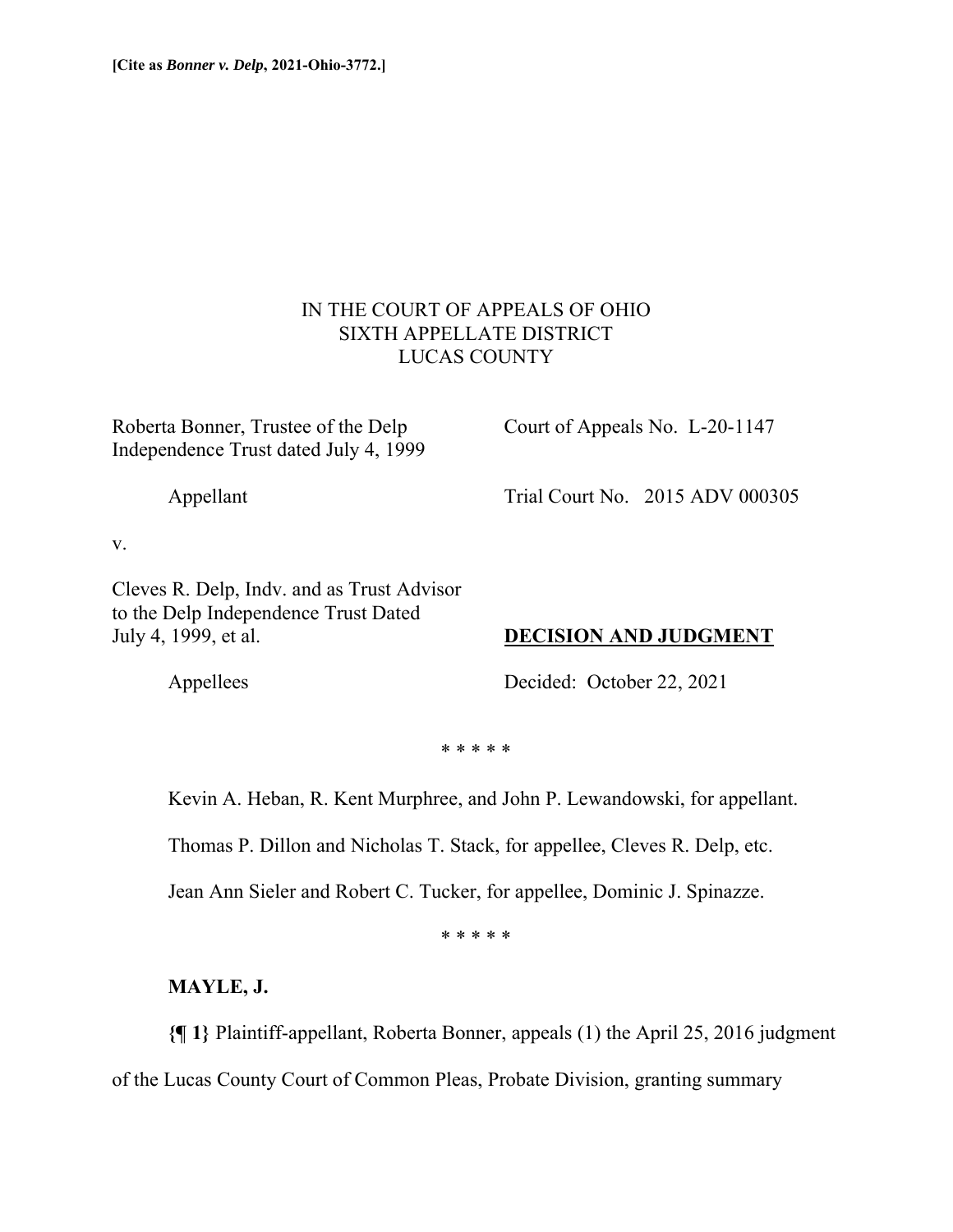# IN THE COURT OF APPEALS OF OHIO SIXTH APPELLATE DISTRICT LUCAS COUNTY

Roberta Bonner, Trustee of the Delp Court of Appeals No. L-20-1147 Independence Trust dated July 4, 1999

Appellant Trial Court No. 2015 ADV 000305

v.

Cleves R. Delp, Indv. and as Trust Advisor to the Delp Independence Trust Dated July 4, 1999, et al. **DECISION AND JUDGMENT**

Appellees Decided: October 22, 2021

\* \* \* \* \*

Kevin A. Heban, R. Kent Murphree, and John P. Lewandowski, for appellant.

Thomas P. Dillon and Nicholas T. Stack, for appellee, Cleves R. Delp, etc.

Jean Ann Sieler and Robert C. Tucker, for appellee, Dominic J. Spinazze.

\* \* \* \* \*

**MAYLE, J.** 

**{¶ 1}** Plaintiff-appellant, Roberta Bonner, appeals (1) the April 25, 2016 judgment

of the Lucas County Court of Common Pleas, Probate Division, granting summary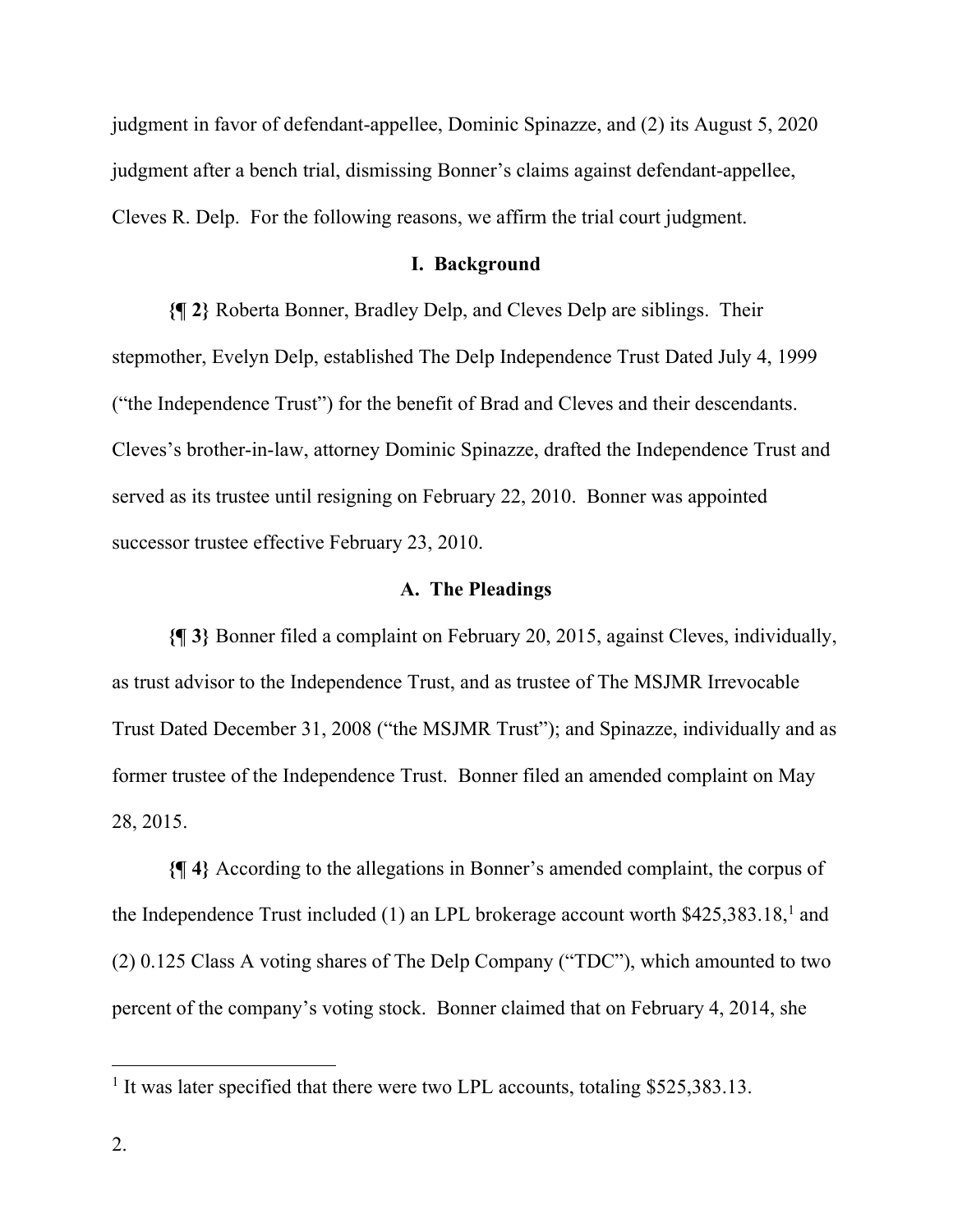judgment in favor of defendant-appellee, Dominic Spinazze, and (2) its August 5, 2020 judgment after a bench trial, dismissing Bonner's claims against defendant-appellee, Cleves R. Delp. For the following reasons, we affirm the trial court judgment.

## **I. Background**

**{¶ 2}** Roberta Bonner, Bradley Delp, and Cleves Delp are siblings. Their stepmother, Evelyn Delp, established The Delp Independence Trust Dated July 4, 1999 ("the Independence Trust") for the benefit of Brad and Cleves and their descendants. Cleves's brother-in-law, attorney Dominic Spinazze, drafted the Independence Trust and served as its trustee until resigning on February 22, 2010. Bonner was appointed successor trustee effective February 23, 2010.

# **A. The Pleadings**

**{¶ 3}** Bonner filed a complaint on February 20, 2015, against Cleves, individually, as trust advisor to the Independence Trust, and as trustee of The MSJMR Irrevocable Trust Dated December 31, 2008 ("the MSJMR Trust"); and Spinazze, individually and as former trustee of the Independence Trust. Bonner filed an amended complaint on May 28, 2015.

**{¶ 4}** According to the allegations in Bonner's amended complaint, the corpus of the Independence Trust included  $(1)$  an LPL brokerage account worth \$425,383.18,<sup>1</sup> and (2) 0.125 Class A voting shares of The Delp Company ("TDC"), which amounted to two percent of the company's voting stock. Bonner claimed that on February 4, 2014, she

<sup>&</sup>lt;sup>1</sup> It was later specified that there were two LPL accounts, totaling \$525,383.13.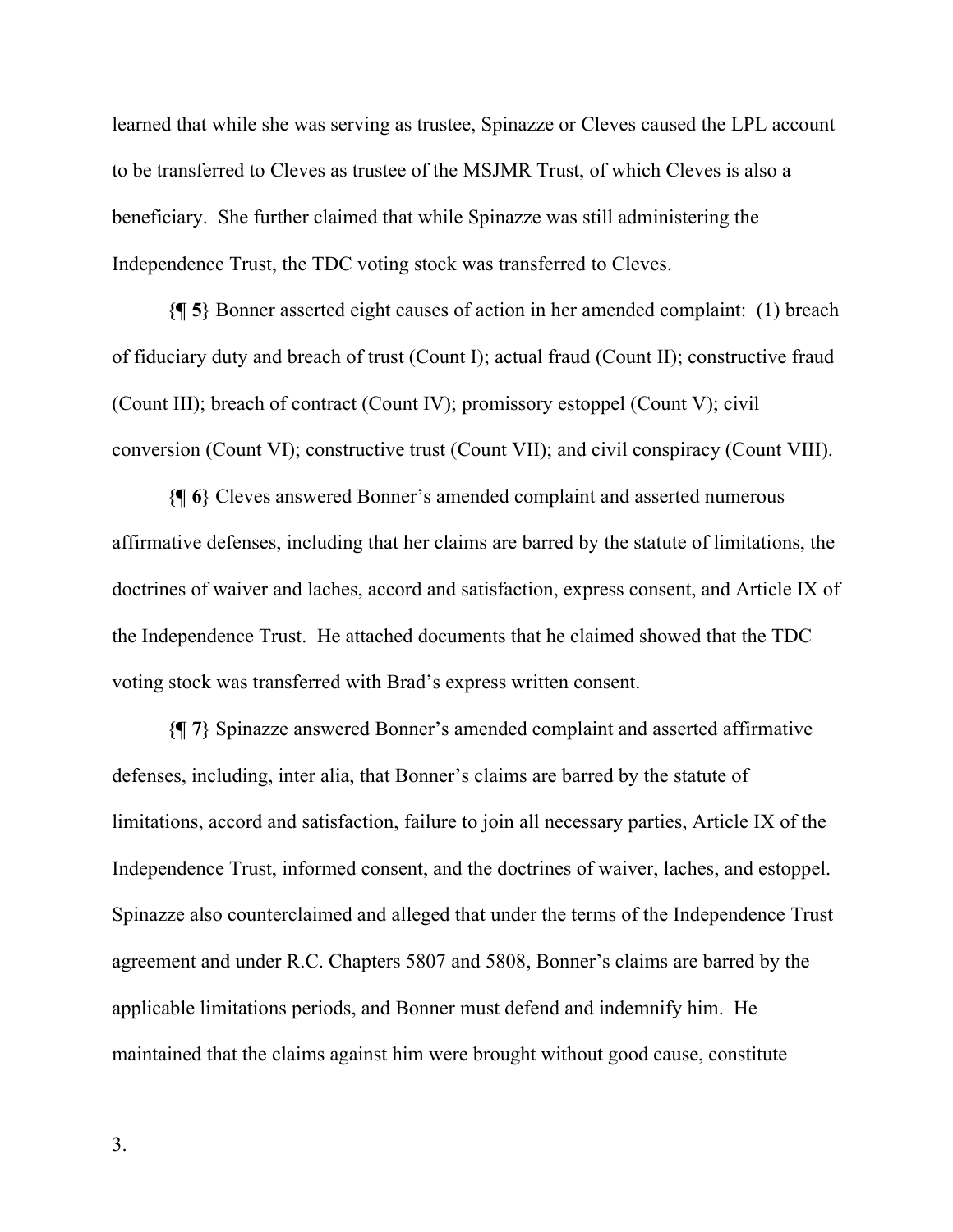learned that while she was serving as trustee, Spinazze or Cleves caused the LPL account to be transferred to Cleves as trustee of the MSJMR Trust, of which Cleves is also a beneficiary. She further claimed that while Spinazze was still administering the Independence Trust, the TDC voting stock was transferred to Cleves.

**{¶ 5}** Bonner asserted eight causes of action in her amended complaint: (1) breach of fiduciary duty and breach of trust (Count I); actual fraud (Count II); constructive fraud (Count III); breach of contract (Count IV); promissory estoppel (Count V); civil conversion (Count VI); constructive trust (Count VII); and civil conspiracy (Count VIII).

**{¶ 6}** Cleves answered Bonner's amended complaint and asserted numerous affirmative defenses, including that her claims are barred by the statute of limitations, the doctrines of waiver and laches, accord and satisfaction, express consent, and Article IX of the Independence Trust. He attached documents that he claimed showed that the TDC voting stock was transferred with Brad's express written consent.

**{¶ 7}** Spinazze answered Bonner's amended complaint and asserted affirmative defenses, including, inter alia, that Bonner's claims are barred by the statute of limitations, accord and satisfaction, failure to join all necessary parties, Article IX of the Independence Trust, informed consent, and the doctrines of waiver, laches, and estoppel. Spinazze also counterclaimed and alleged that under the terms of the Independence Trust agreement and under R.C. Chapters 5807 and 5808, Bonner's claims are barred by the applicable limitations periods, and Bonner must defend and indemnify him. He maintained that the claims against him were brought without good cause, constitute

3.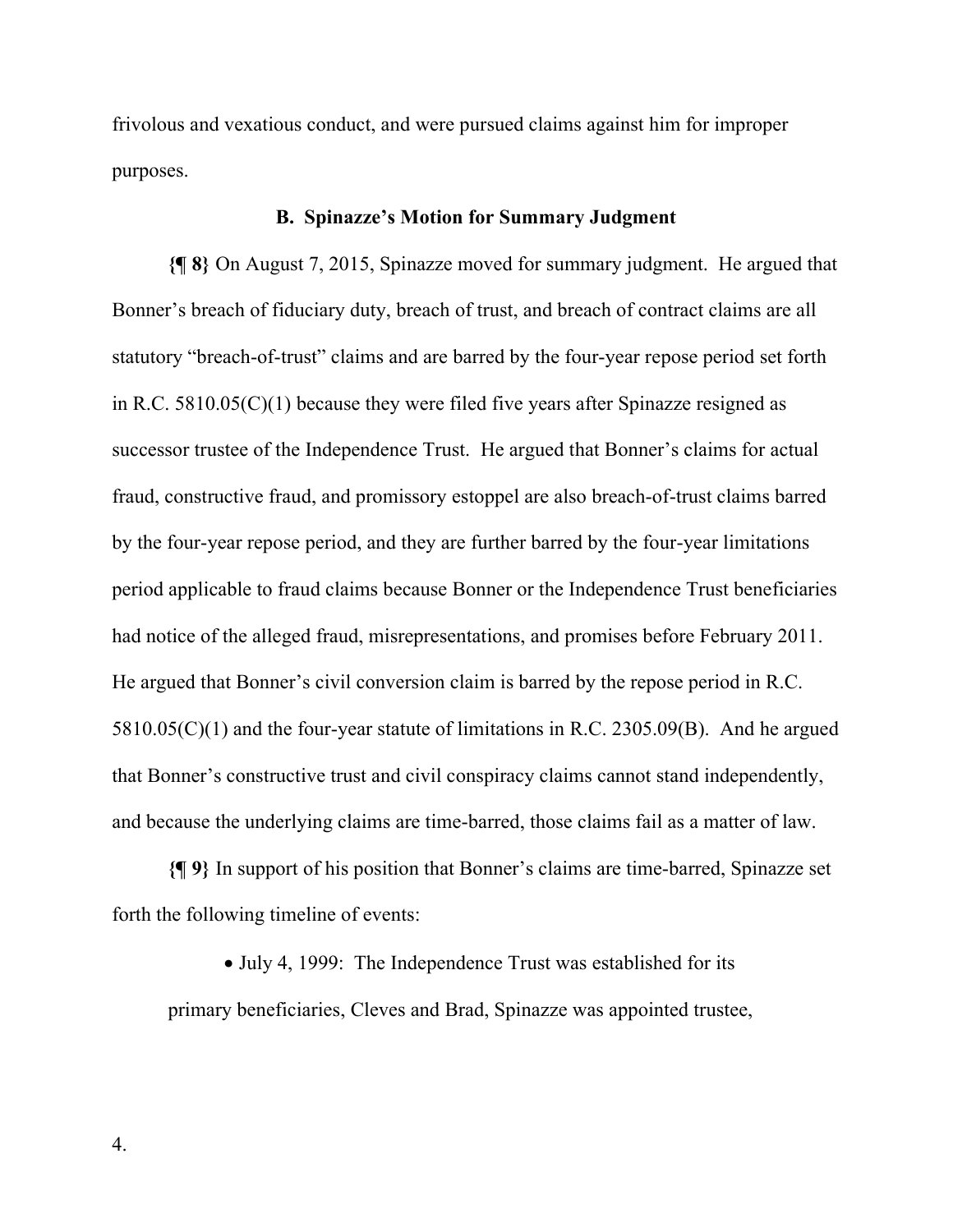frivolous and vexatious conduct, and were pursued claims against him for improper purposes.

# **B. Spinazze's Motion for Summary Judgment**

**{¶ 8}** On August 7, 2015, Spinazze moved for summary judgment. He argued that Bonner's breach of fiduciary duty, breach of trust, and breach of contract claims are all statutory "breach-of-trust" claims and are barred by the four-year repose period set forth in R.C. 5810.05(C)(1) because they were filed five years after Spinazze resigned as successor trustee of the Independence Trust. He argued that Bonner's claims for actual fraud, constructive fraud, and promissory estoppel are also breach-of-trust claims barred by the four-year repose period, and they are further barred by the four-year limitations period applicable to fraud claims because Bonner or the Independence Trust beneficiaries had notice of the alleged fraud, misrepresentations, and promises before February 2011. He argued that Bonner's civil conversion claim is barred by the repose period in R.C. 5810.05(C)(1) and the four-year statute of limitations in R.C. 2305.09(B). And he argued that Bonner's constructive trust and civil conspiracy claims cannot stand independently, and because the underlying claims are time-barred, those claims fail as a matter of law.

**{¶ 9}** In support of his position that Bonner's claims are time-barred, Spinazze set forth the following timeline of events:

• July 4, 1999: The Independence Trust was established for its

primary beneficiaries, Cleves and Brad, Spinazze was appointed trustee,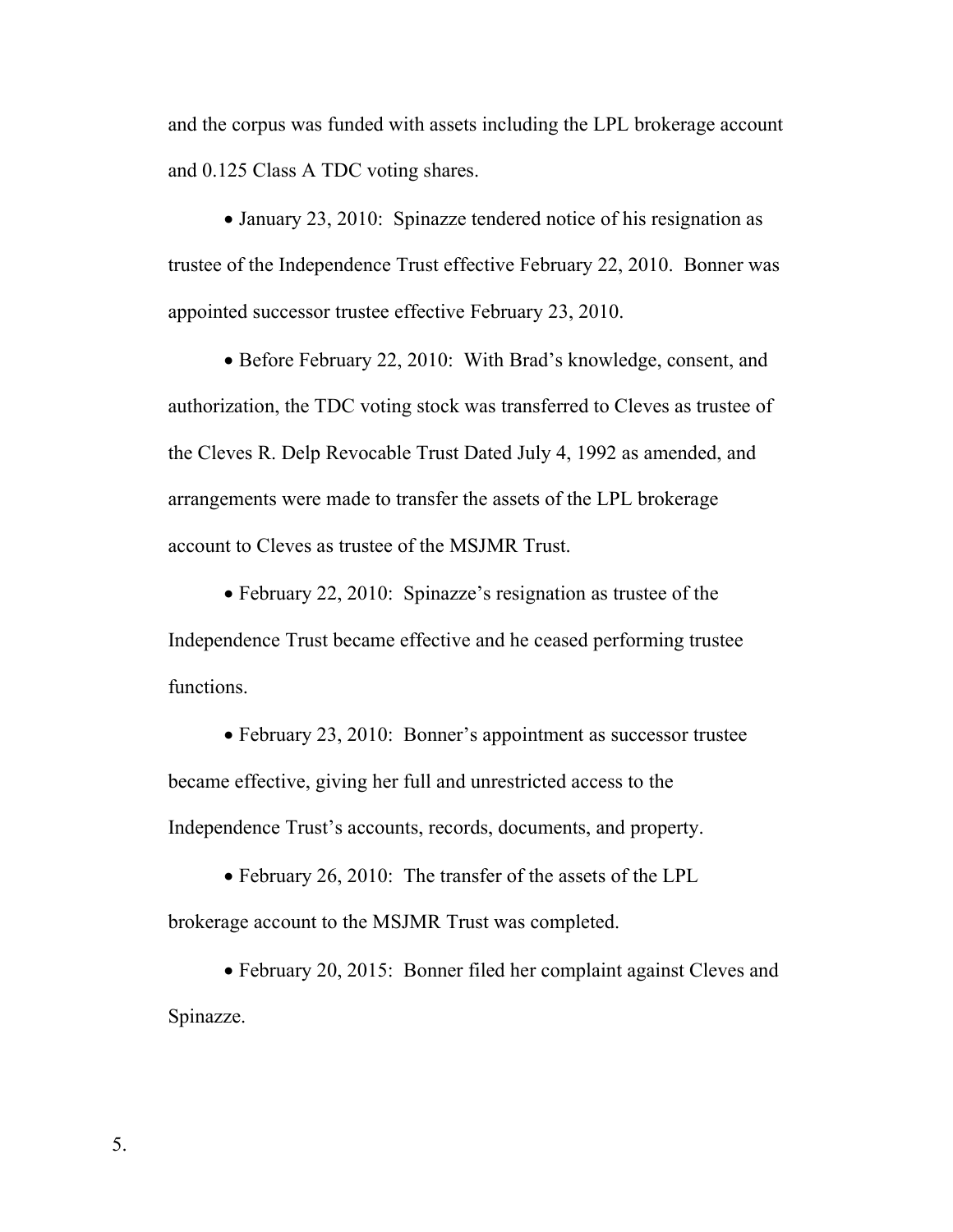and the corpus was funded with assets including the LPL brokerage account and 0.125 Class A TDC voting shares.

• January 23, 2010: Spinazze tendered notice of his resignation as trustee of the Independence Trust effective February 22, 2010. Bonner was appointed successor trustee effective February 23, 2010.

 Before February 22, 2010: With Brad's knowledge, consent, and authorization, the TDC voting stock was transferred to Cleves as trustee of the Cleves R. Delp Revocable Trust Dated July 4, 1992 as amended, and arrangements were made to transfer the assets of the LPL brokerage account to Cleves as trustee of the MSJMR Trust.

 February 22, 2010: Spinazze's resignation as trustee of the Independence Trust became effective and he ceased performing trustee functions.

• February 23, 2010: Bonner's appointment as successor trustee became effective, giving her full and unrestricted access to the Independence Trust's accounts, records, documents, and property.

• February 26, 2010: The transfer of the assets of the LPL brokerage account to the MSJMR Trust was completed.

 February 20, 2015: Bonner filed her complaint against Cleves and Spinazze.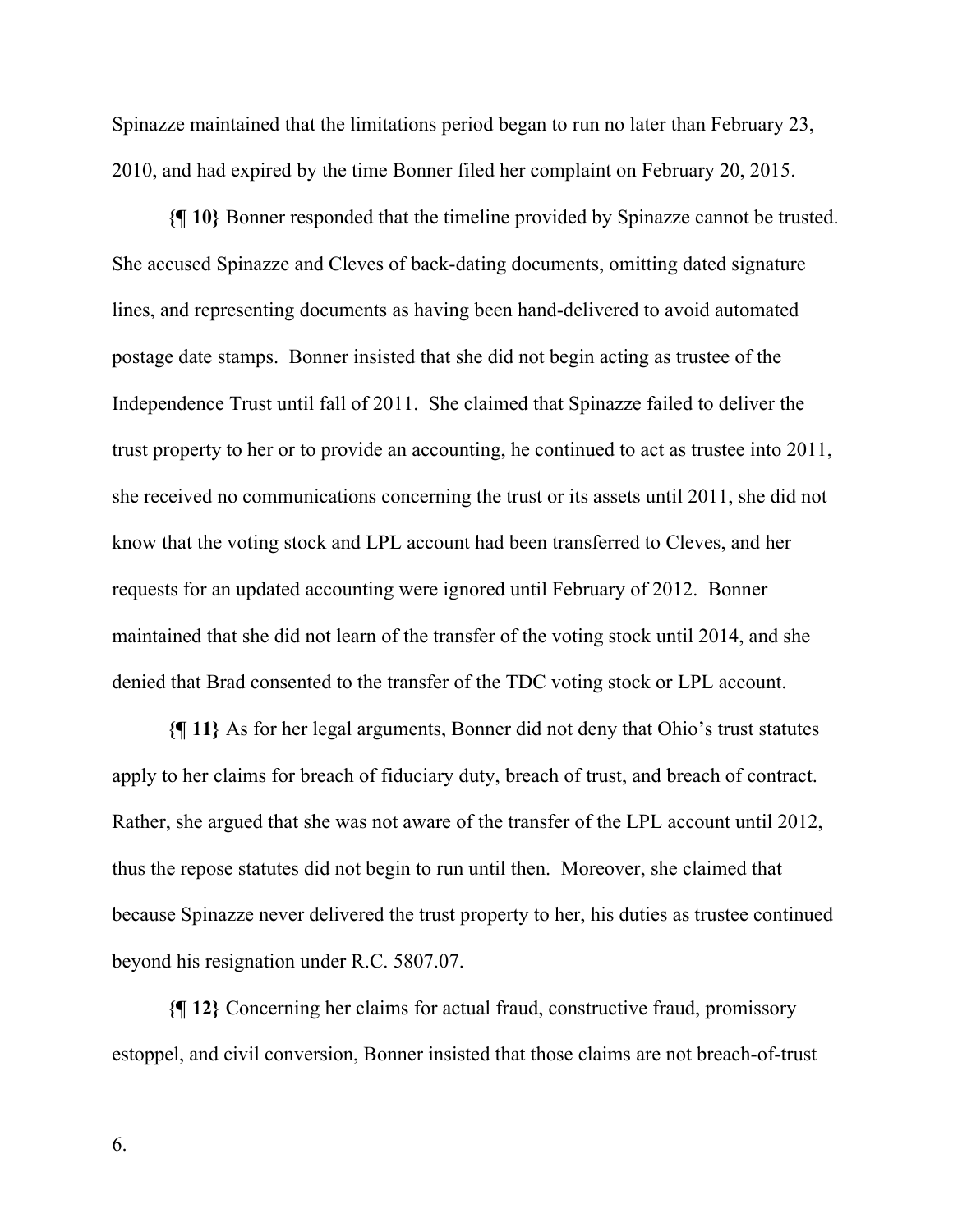Spinazze maintained that the limitations period began to run no later than February 23, 2010, and had expired by the time Bonner filed her complaint on February 20, 2015.

**{¶ 10}** Bonner responded that the timeline provided by Spinazze cannot be trusted. She accused Spinazze and Cleves of back-dating documents, omitting dated signature lines, and representing documents as having been hand-delivered to avoid automated postage date stamps. Bonner insisted that she did not begin acting as trustee of the Independence Trust until fall of 2011. She claimed that Spinazze failed to deliver the trust property to her or to provide an accounting, he continued to act as trustee into 2011, she received no communications concerning the trust or its assets until 2011, she did not know that the voting stock and LPL account had been transferred to Cleves, and her requests for an updated accounting were ignored until February of 2012. Bonner maintained that she did not learn of the transfer of the voting stock until 2014, and she denied that Brad consented to the transfer of the TDC voting stock or LPL account.

**{¶ 11}** As for her legal arguments, Bonner did not deny that Ohio's trust statutes apply to her claims for breach of fiduciary duty, breach of trust, and breach of contract. Rather, she argued that she was not aware of the transfer of the LPL account until 2012, thus the repose statutes did not begin to run until then. Moreover, she claimed that because Spinazze never delivered the trust property to her, his duties as trustee continued beyond his resignation under R.C. 5807.07.

**{¶ 12}** Concerning her claims for actual fraud, constructive fraud, promissory estoppel, and civil conversion, Bonner insisted that those claims are not breach-of-trust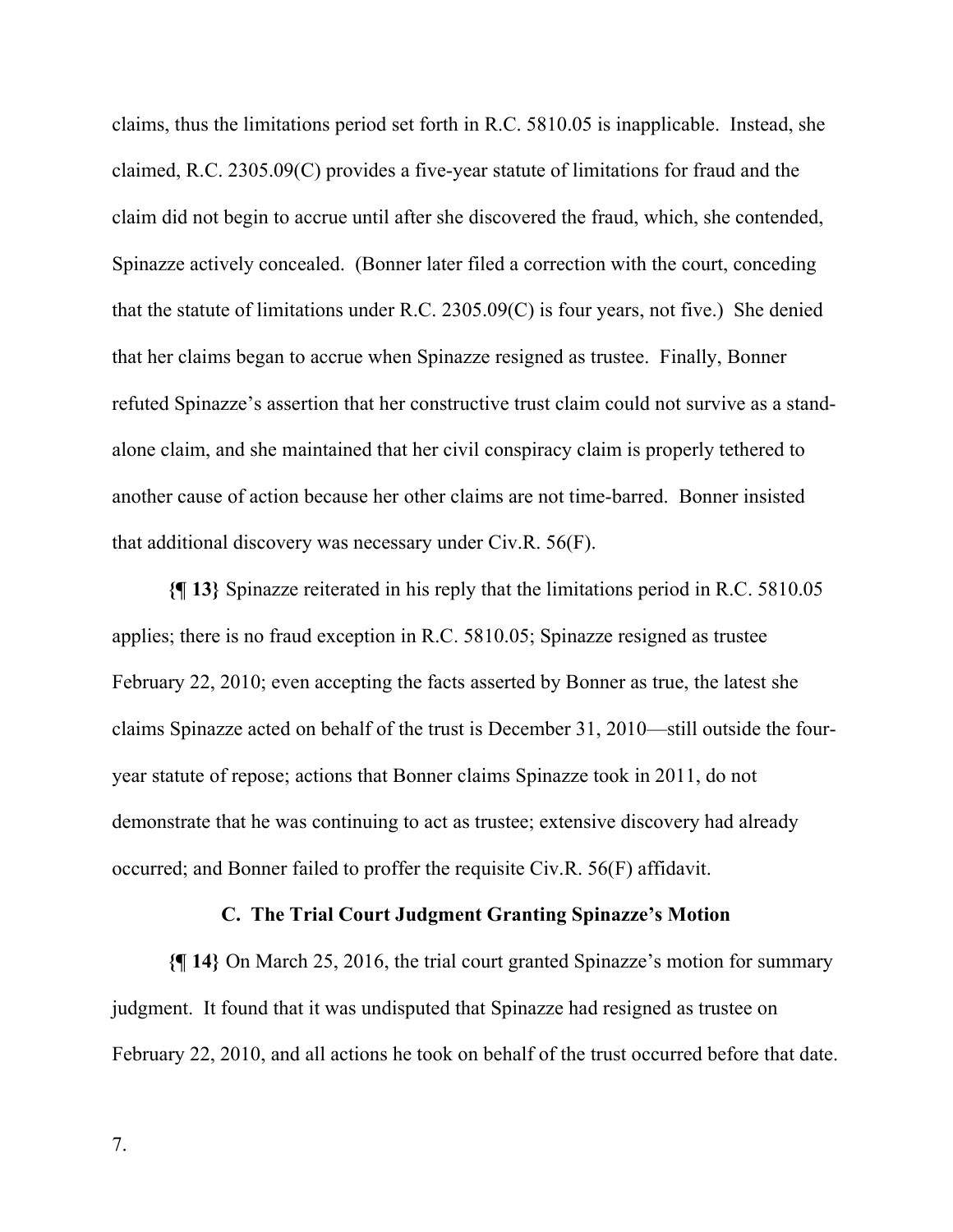claims, thus the limitations period set forth in R.C. 5810.05 is inapplicable. Instead, she claimed, R.C. 2305.09(C) provides a five-year statute of limitations for fraud and the claim did not begin to accrue until after she discovered the fraud, which, she contended, Spinazze actively concealed. (Bonner later filed a correction with the court, conceding that the statute of limitations under R.C. 2305.09(C) is four years, not five.) She denied that her claims began to accrue when Spinazze resigned as trustee. Finally, Bonner refuted Spinazze's assertion that her constructive trust claim could not survive as a standalone claim, and she maintained that her civil conspiracy claim is properly tethered to another cause of action because her other claims are not time-barred. Bonner insisted that additional discovery was necessary under Civ.R. 56(F).

**{¶ 13}** Spinazze reiterated in his reply that the limitations period in R.C. 5810.05 applies; there is no fraud exception in R.C. 5810.05; Spinazze resigned as trustee February 22, 2010; even accepting the facts asserted by Bonner as true, the latest she claims Spinazze acted on behalf of the trust is December 31, 2010—still outside the fouryear statute of repose; actions that Bonner claims Spinazze took in 2011, do not demonstrate that he was continuing to act as trustee; extensive discovery had already occurred; and Bonner failed to proffer the requisite Civ.R. 56(F) affidavit.

# **C. The Trial Court Judgment Granting Spinazze's Motion**

**{¶ 14}** On March 25, 2016, the trial court granted Spinazze's motion for summary judgment. It found that it was undisputed that Spinazze had resigned as trustee on February 22, 2010, and all actions he took on behalf of the trust occurred before that date.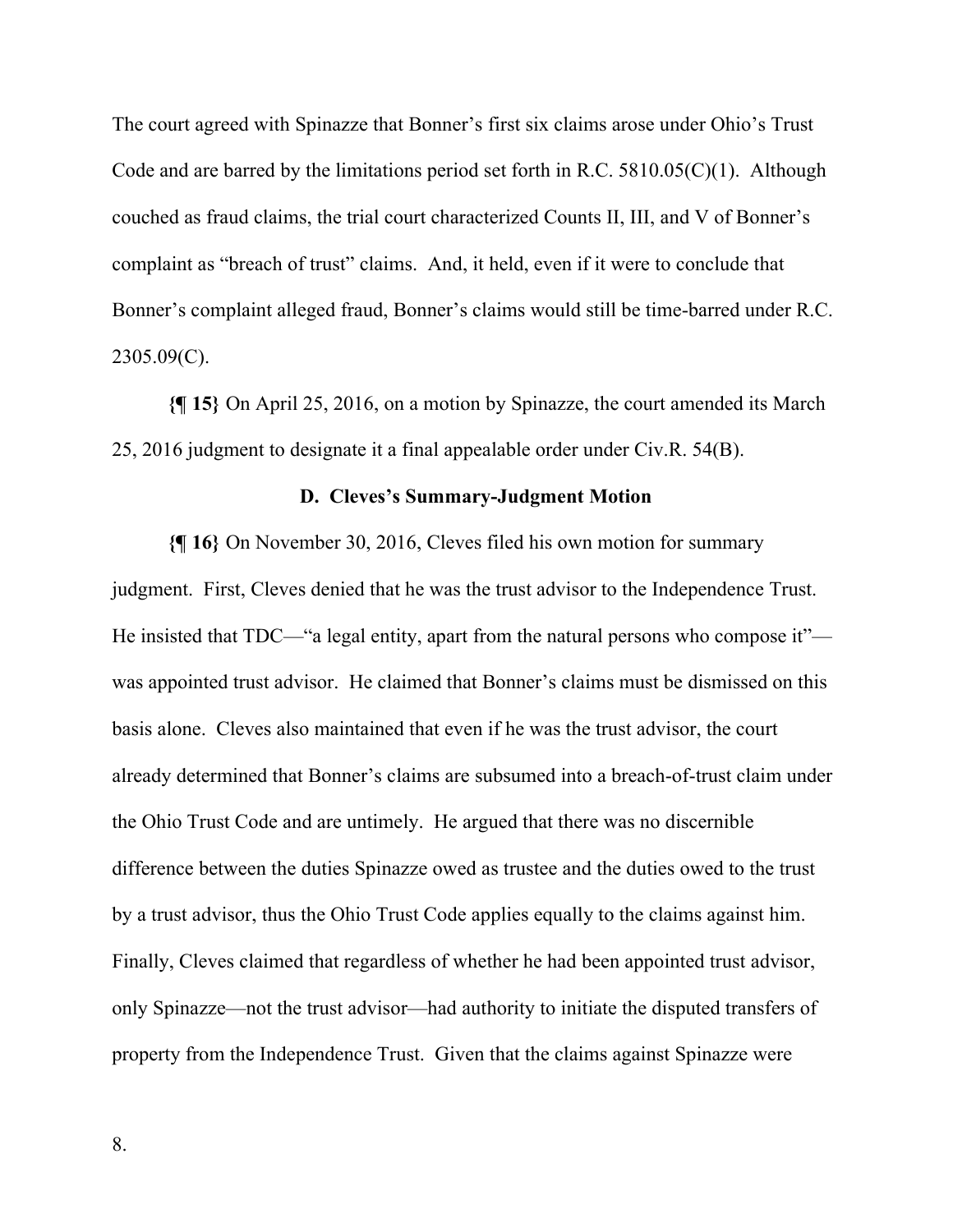The court agreed with Spinazze that Bonner's first six claims arose under Ohio's Trust Code and are barred by the limitations period set forth in R.C.  $5810.05(C)(1)$ . Although couched as fraud claims, the trial court characterized Counts II, III, and V of Bonner's complaint as "breach of trust" claims. And, it held, even if it were to conclude that Bonner's complaint alleged fraud, Bonner's claims would still be time-barred under R.C. 2305.09(C).

**{¶ 15}** On April 25, 2016, on a motion by Spinazze, the court amended its March 25, 2016 judgment to designate it a final appealable order under Civ.R. 54(B).

## **D. Cleves's Summary-Judgment Motion**

**{¶ 16}** On November 30, 2016, Cleves filed his own motion for summary judgment. First, Cleves denied that he was the trust advisor to the Independence Trust. He insisted that TDC—"a legal entity, apart from the natural persons who compose it" was appointed trust advisor. He claimed that Bonner's claims must be dismissed on this basis alone. Cleves also maintained that even if he was the trust advisor, the court already determined that Bonner's claims are subsumed into a breach-of-trust claim under the Ohio Trust Code and are untimely. He argued that there was no discernible difference between the duties Spinazze owed as trustee and the duties owed to the trust by a trust advisor, thus the Ohio Trust Code applies equally to the claims against him. Finally, Cleves claimed that regardless of whether he had been appointed trust advisor, only Spinazze—not the trust advisor—had authority to initiate the disputed transfers of property from the Independence Trust. Given that the claims against Spinazze were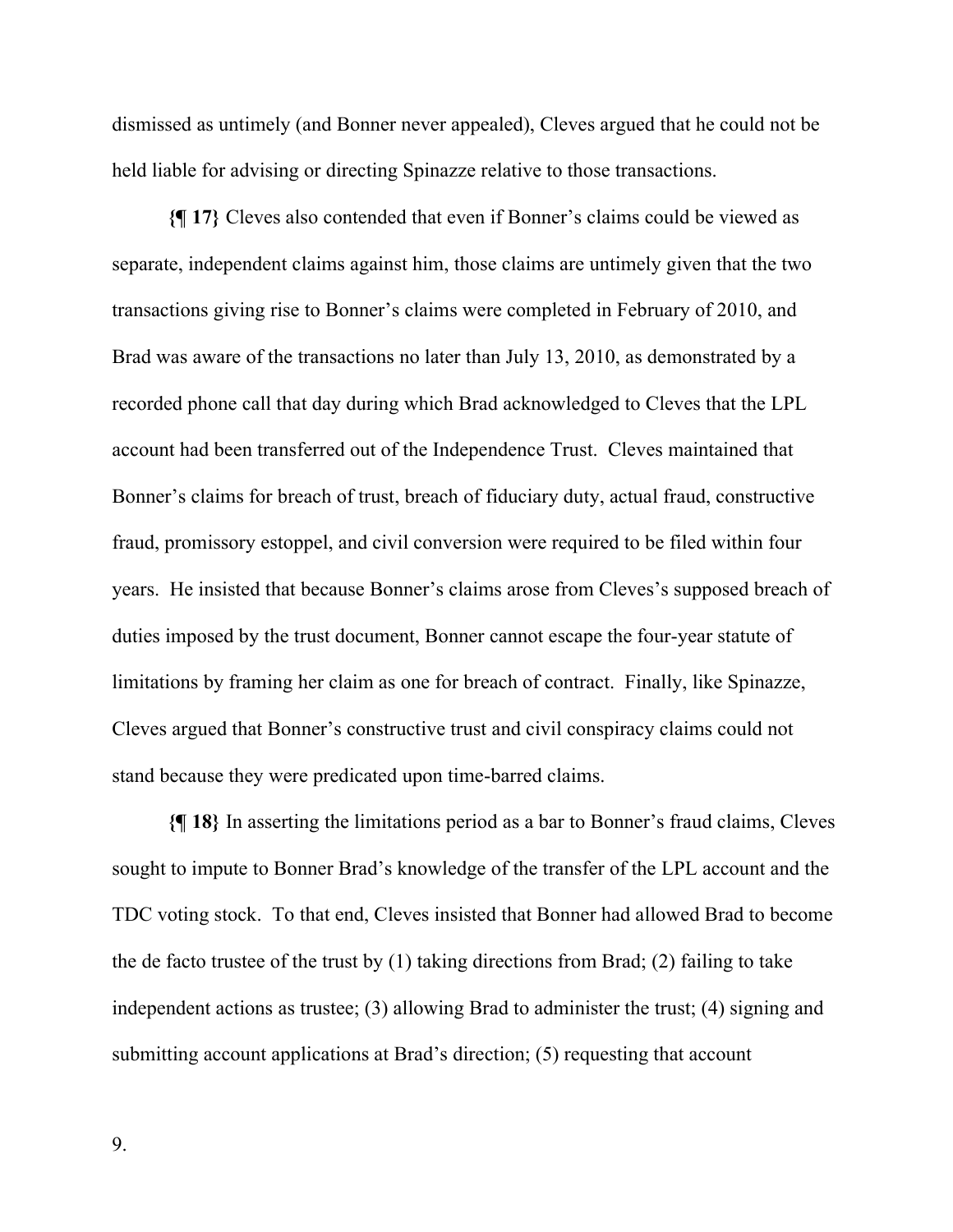dismissed as untimely (and Bonner never appealed), Cleves argued that he could not be held liable for advising or directing Spinazze relative to those transactions.

**{¶ 17}** Cleves also contended that even if Bonner's claims could be viewed as separate, independent claims against him, those claims are untimely given that the two transactions giving rise to Bonner's claims were completed in February of 2010, and Brad was aware of the transactions no later than July 13, 2010, as demonstrated by a recorded phone call that day during which Brad acknowledged to Cleves that the LPL account had been transferred out of the Independence Trust. Cleves maintained that Bonner's claims for breach of trust, breach of fiduciary duty, actual fraud, constructive fraud, promissory estoppel, and civil conversion were required to be filed within four years. He insisted that because Bonner's claims arose from Cleves's supposed breach of duties imposed by the trust document, Bonner cannot escape the four-year statute of limitations by framing her claim as one for breach of contract. Finally, like Spinazze, Cleves argued that Bonner's constructive trust and civil conspiracy claims could not stand because they were predicated upon time-barred claims.

**{¶ 18}** In asserting the limitations period as a bar to Bonner's fraud claims, Cleves sought to impute to Bonner Brad's knowledge of the transfer of the LPL account and the TDC voting stock. To that end, Cleves insisted that Bonner had allowed Brad to become the de facto trustee of the trust by (1) taking directions from Brad; (2) failing to take independent actions as trustee; (3) allowing Brad to administer the trust; (4) signing and submitting account applications at Brad's direction; (5) requesting that account

9.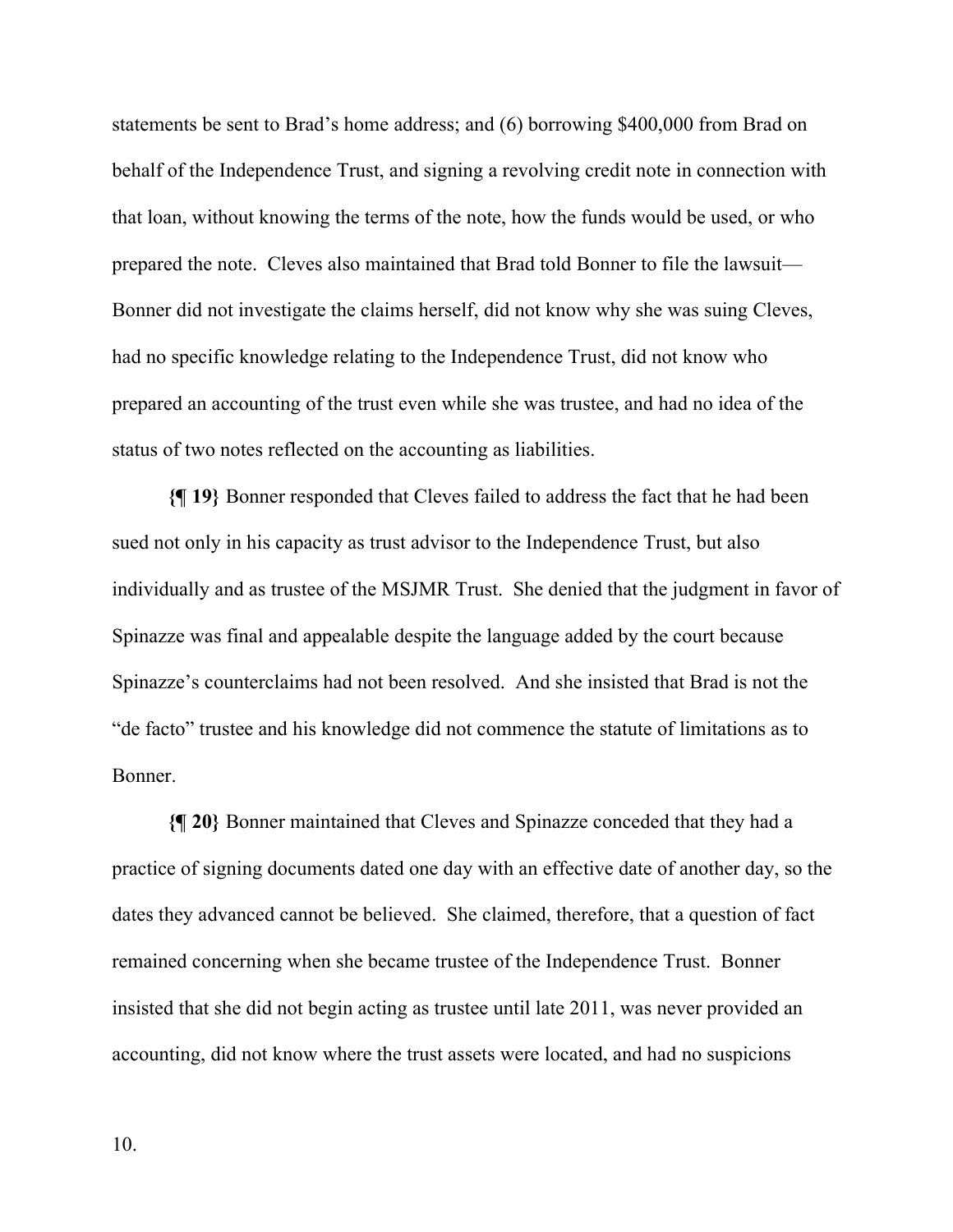statements be sent to Brad's home address; and (6) borrowing \$400,000 from Brad on behalf of the Independence Trust, and signing a revolving credit note in connection with that loan, without knowing the terms of the note, how the funds would be used, or who prepared the note. Cleves also maintained that Brad told Bonner to file the lawsuit— Bonner did not investigate the claims herself, did not know why she was suing Cleves, had no specific knowledge relating to the Independence Trust, did not know who prepared an accounting of the trust even while she was trustee, and had no idea of the status of two notes reflected on the accounting as liabilities.

**{¶ 19}** Bonner responded that Cleves failed to address the fact that he had been sued not only in his capacity as trust advisor to the Independence Trust, but also individually and as trustee of the MSJMR Trust. She denied that the judgment in favor of Spinazze was final and appealable despite the language added by the court because Spinazze's counterclaims had not been resolved. And she insisted that Brad is not the "de facto" trustee and his knowledge did not commence the statute of limitations as to Bonner.

**{¶ 20}** Bonner maintained that Cleves and Spinazze conceded that they had a practice of signing documents dated one day with an effective date of another day, so the dates they advanced cannot be believed. She claimed, therefore, that a question of fact remained concerning when she became trustee of the Independence Trust. Bonner insisted that she did not begin acting as trustee until late 2011, was never provided an accounting, did not know where the trust assets were located, and had no suspicions

10.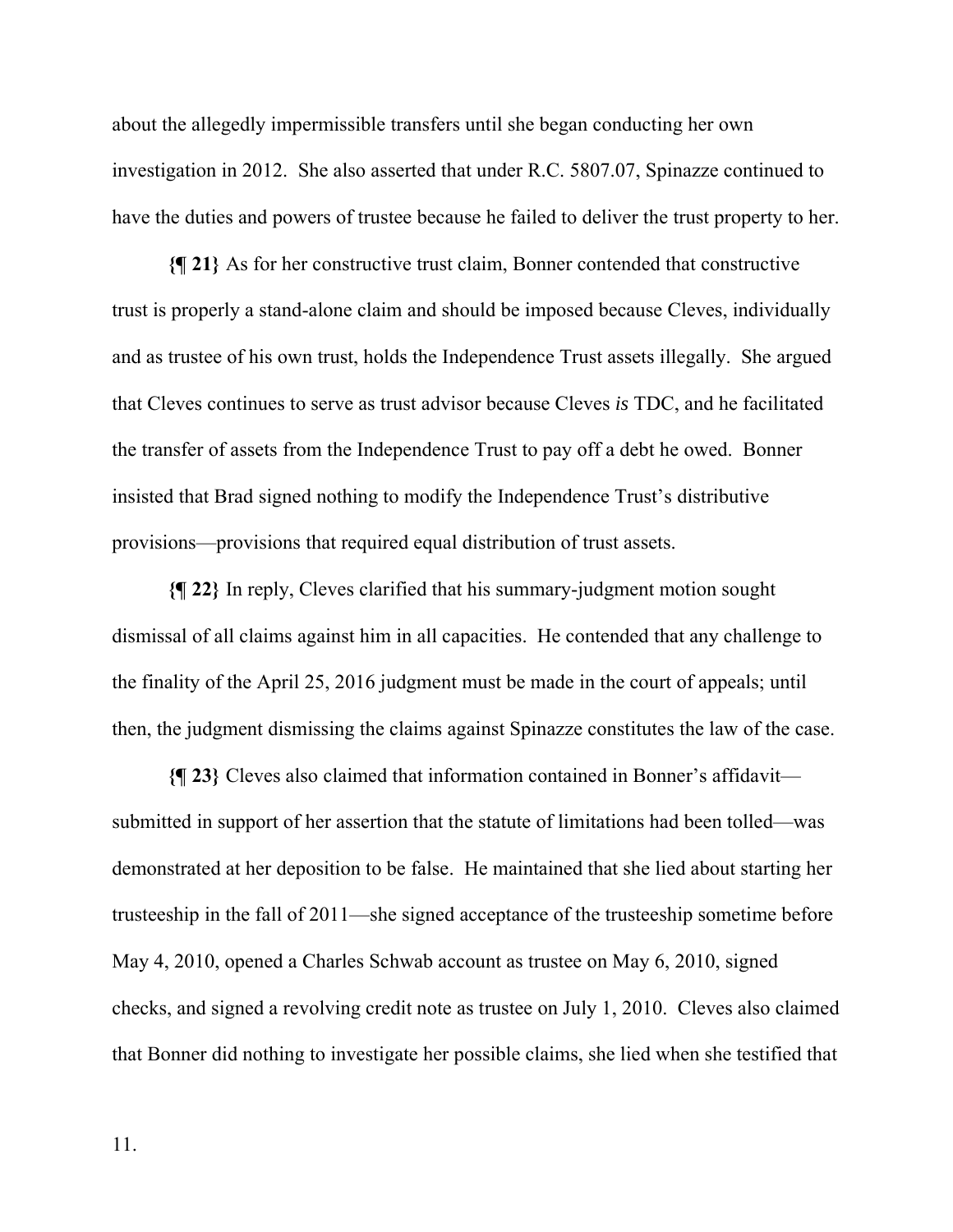about the allegedly impermissible transfers until she began conducting her own investigation in 2012. She also asserted that under R.C. 5807.07, Spinazze continued to have the duties and powers of trustee because he failed to deliver the trust property to her.

**{¶ 21}** As for her constructive trust claim, Bonner contended that constructive trust is properly a stand-alone claim and should be imposed because Cleves, individually and as trustee of his own trust, holds the Independence Trust assets illegally. She argued that Cleves continues to serve as trust advisor because Cleves *is* TDC, and he facilitated the transfer of assets from the Independence Trust to pay off a debt he owed. Bonner insisted that Brad signed nothing to modify the Independence Trust's distributive provisions—provisions that required equal distribution of trust assets.

**{¶ 22}** In reply, Cleves clarified that his summary-judgment motion sought dismissal of all claims against him in all capacities. He contended that any challenge to the finality of the April 25, 2016 judgment must be made in the court of appeals; until then, the judgment dismissing the claims against Spinazze constitutes the law of the case.

**{¶ 23}** Cleves also claimed that information contained in Bonner's affidavit submitted in support of her assertion that the statute of limitations had been tolled—was demonstrated at her deposition to be false. He maintained that she lied about starting her trusteeship in the fall of 2011—she signed acceptance of the trusteeship sometime before May 4, 2010, opened a Charles Schwab account as trustee on May 6, 2010, signed checks, and signed a revolving credit note as trustee on July 1, 2010. Cleves also claimed that Bonner did nothing to investigate her possible claims, she lied when she testified that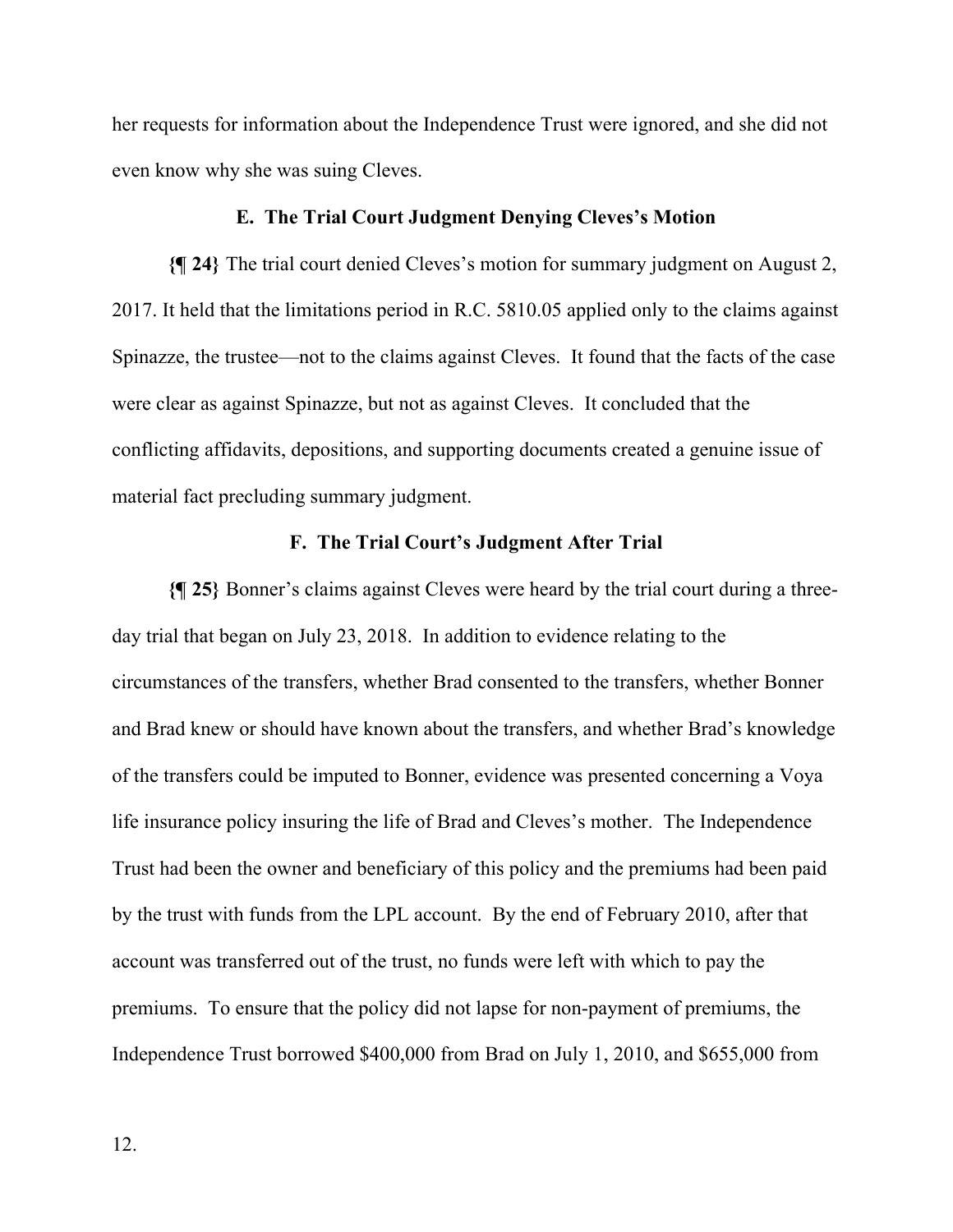her requests for information about the Independence Trust were ignored, and she did not even know why she was suing Cleves.

# **E. The Trial Court Judgment Denying Cleves's Motion**

**{¶ 24}** The trial court denied Cleves's motion for summary judgment on August 2, 2017. It held that the limitations period in R.C. 5810.05 applied only to the claims against Spinazze, the trustee—not to the claims against Cleves. It found that the facts of the case were clear as against Spinazze, but not as against Cleves. It concluded that the conflicting affidavits, depositions, and supporting documents created a genuine issue of material fact precluding summary judgment.

# **F. The Trial Court's Judgment After Trial**

**{¶ 25}** Bonner's claims against Cleves were heard by the trial court during a threeday trial that began on July 23, 2018. In addition to evidence relating to the circumstances of the transfers, whether Brad consented to the transfers, whether Bonner and Brad knew or should have known about the transfers, and whether Brad's knowledge of the transfers could be imputed to Bonner, evidence was presented concerning a Voya life insurance policy insuring the life of Brad and Cleves's mother. The Independence Trust had been the owner and beneficiary of this policy and the premiums had been paid by the trust with funds from the LPL account. By the end of February 2010, after that account was transferred out of the trust, no funds were left with which to pay the premiums. To ensure that the policy did not lapse for non-payment of premiums, the Independence Trust borrowed \$400,000 from Brad on July 1, 2010, and \$655,000 from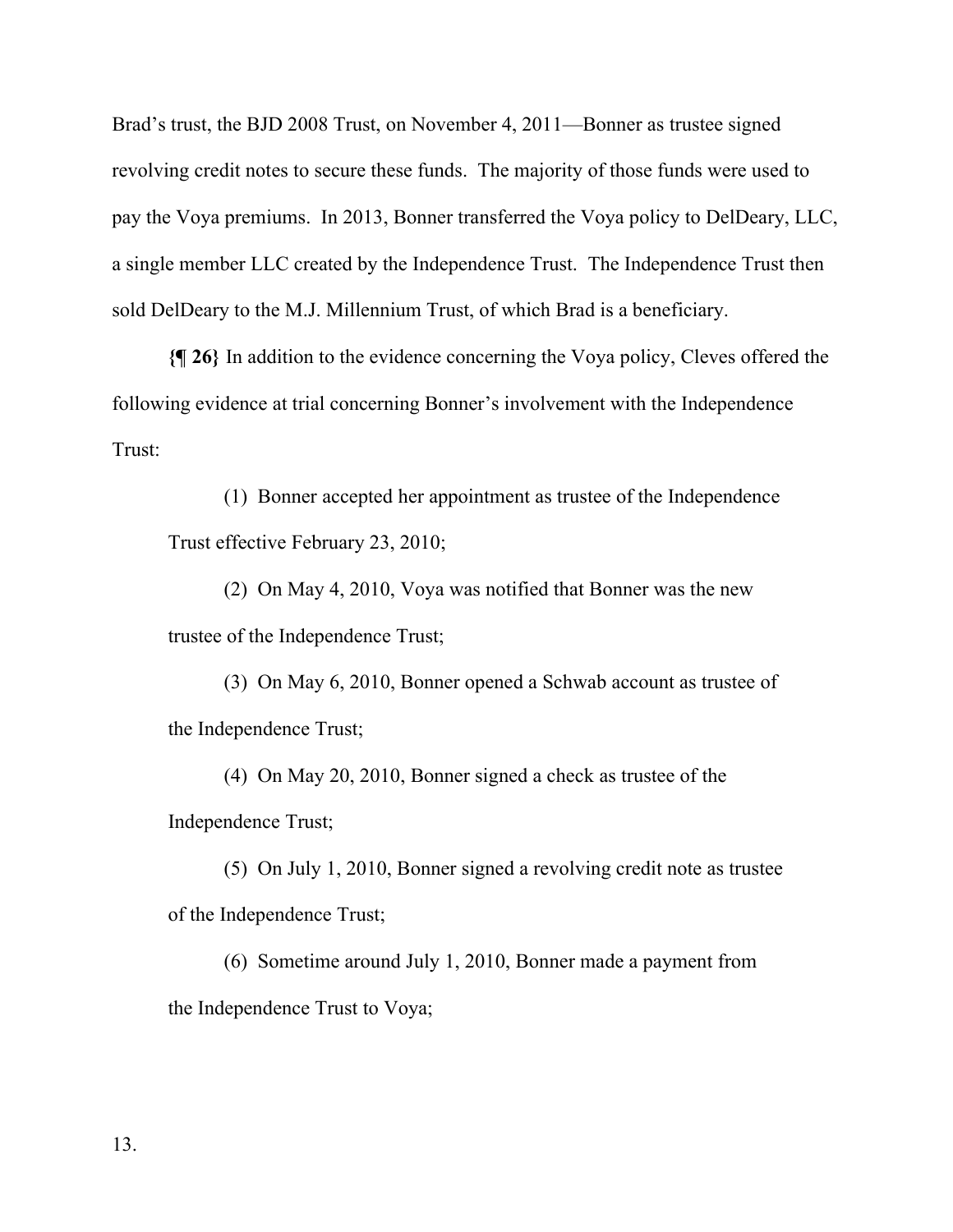Brad's trust, the BJD 2008 Trust, on November 4, 2011—Bonner as trustee signed revolving credit notes to secure these funds. The majority of those funds were used to pay the Voya premiums. In 2013, Bonner transferred the Voya policy to DelDeary, LLC, a single member LLC created by the Independence Trust. The Independence Trust then sold DelDeary to the M.J. Millennium Trust, of which Brad is a beneficiary.

**{¶ 26}** In addition to the evidence concerning the Voya policy, Cleves offered the following evidence at trial concerning Bonner's involvement with the Independence Trust:

(1) Bonner accepted her appointment as trustee of the Independence Trust effective February 23, 2010;

(2) On May 4, 2010, Voya was notified that Bonner was the new trustee of the Independence Trust;

(3) On May 6, 2010, Bonner opened a Schwab account as trustee of the Independence Trust;

(4) On May 20, 2010, Bonner signed a check as trustee of the Independence Trust;

(5) On July 1, 2010, Bonner signed a revolving credit note as trustee of the Independence Trust;

(6) Sometime around July 1, 2010, Bonner made a payment from the Independence Trust to Voya;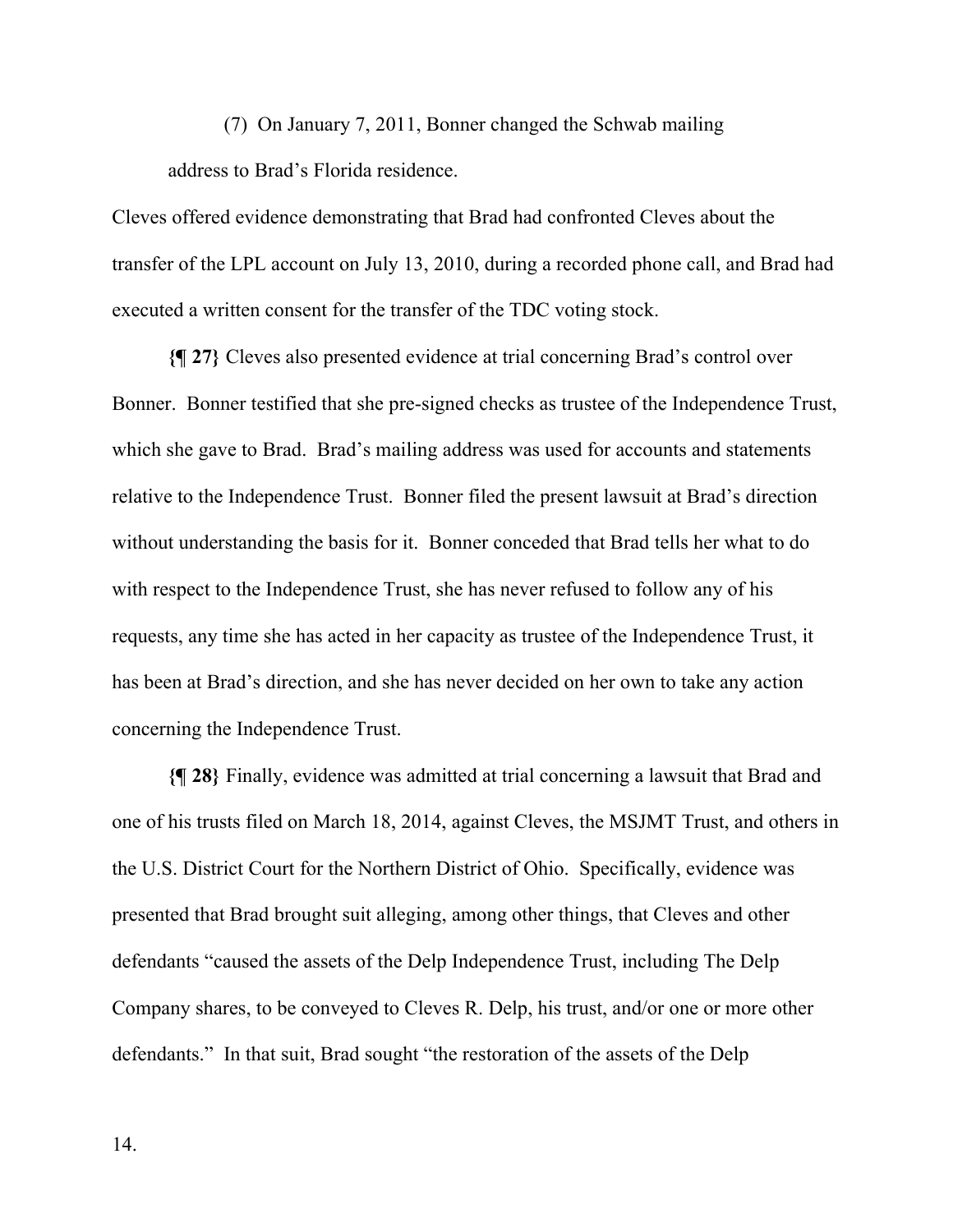(7) On January 7, 2011, Bonner changed the Schwab mailing address to Brad's Florida residence.

Cleves offered evidence demonstrating that Brad had confronted Cleves about the transfer of the LPL account on July 13, 2010, during a recorded phone call, and Brad had executed a written consent for the transfer of the TDC voting stock.

**{¶ 27}** Cleves also presented evidence at trial concerning Brad's control over Bonner. Bonner testified that she pre-signed checks as trustee of the Independence Trust, which she gave to Brad. Brad's mailing address was used for accounts and statements relative to the Independence Trust. Bonner filed the present lawsuit at Brad's direction without understanding the basis for it. Bonner conceded that Brad tells her what to do with respect to the Independence Trust, she has never refused to follow any of his requests, any time she has acted in her capacity as trustee of the Independence Trust, it has been at Brad's direction, and she has never decided on her own to take any action concerning the Independence Trust.

**{¶ 28}** Finally, evidence was admitted at trial concerning a lawsuit that Brad and one of his trusts filed on March 18, 2014, against Cleves, the MSJMT Trust, and others in the U.S. District Court for the Northern District of Ohio. Specifically, evidence was presented that Brad brought suit alleging, among other things, that Cleves and other defendants "caused the assets of the Delp Independence Trust, including The Delp Company shares, to be conveyed to Cleves R. Delp, his trust, and/or one or more other defendants." In that suit, Brad sought "the restoration of the assets of the Delp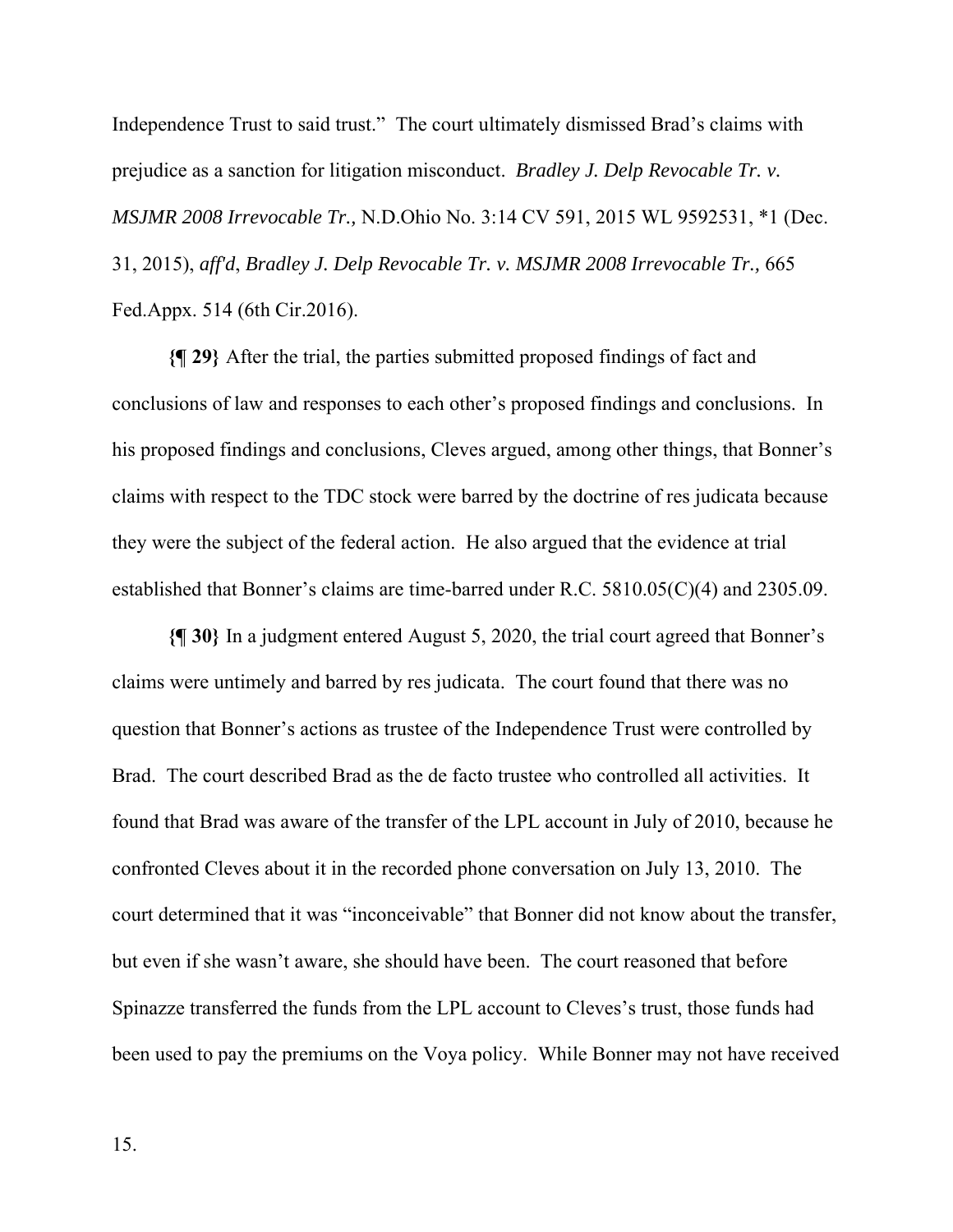Independence Trust to said trust." The court ultimately dismissed Brad's claims with prejudice as a sanction for litigation misconduct. *Bradley J. Delp Revocable Tr. v. MSJMR 2008 Irrevocable Tr.,* N.D.Ohio No. 3:14 CV 591, 2015 WL 9592531, \*1 (Dec. 31, 2015), *aff'd*, *Bradley J. Delp Revocable Tr. v. MSJMR 2008 Irrevocable Tr.,* 665 Fed.Appx. 514 (6th Cir.2016).

**{¶ 29}** After the trial, the parties submitted proposed findings of fact and conclusions of law and responses to each other's proposed findings and conclusions. In his proposed findings and conclusions, Cleves argued, among other things, that Bonner's claims with respect to the TDC stock were barred by the doctrine of res judicata because they were the subject of the federal action. He also argued that the evidence at trial established that Bonner's claims are time-barred under R.C. 5810.05(C)(4) and 2305.09.

**{¶ 30}** In a judgment entered August 5, 2020, the trial court agreed that Bonner's claims were untimely and barred by res judicata. The court found that there was no question that Bonner's actions as trustee of the Independence Trust were controlled by Brad. The court described Brad as the de facto trustee who controlled all activities. It found that Brad was aware of the transfer of the LPL account in July of 2010, because he confronted Cleves about it in the recorded phone conversation on July 13, 2010. The court determined that it was "inconceivable" that Bonner did not know about the transfer, but even if she wasn't aware, she should have been. The court reasoned that before Spinazze transferred the funds from the LPL account to Cleves's trust, those funds had been used to pay the premiums on the Voya policy. While Bonner may not have received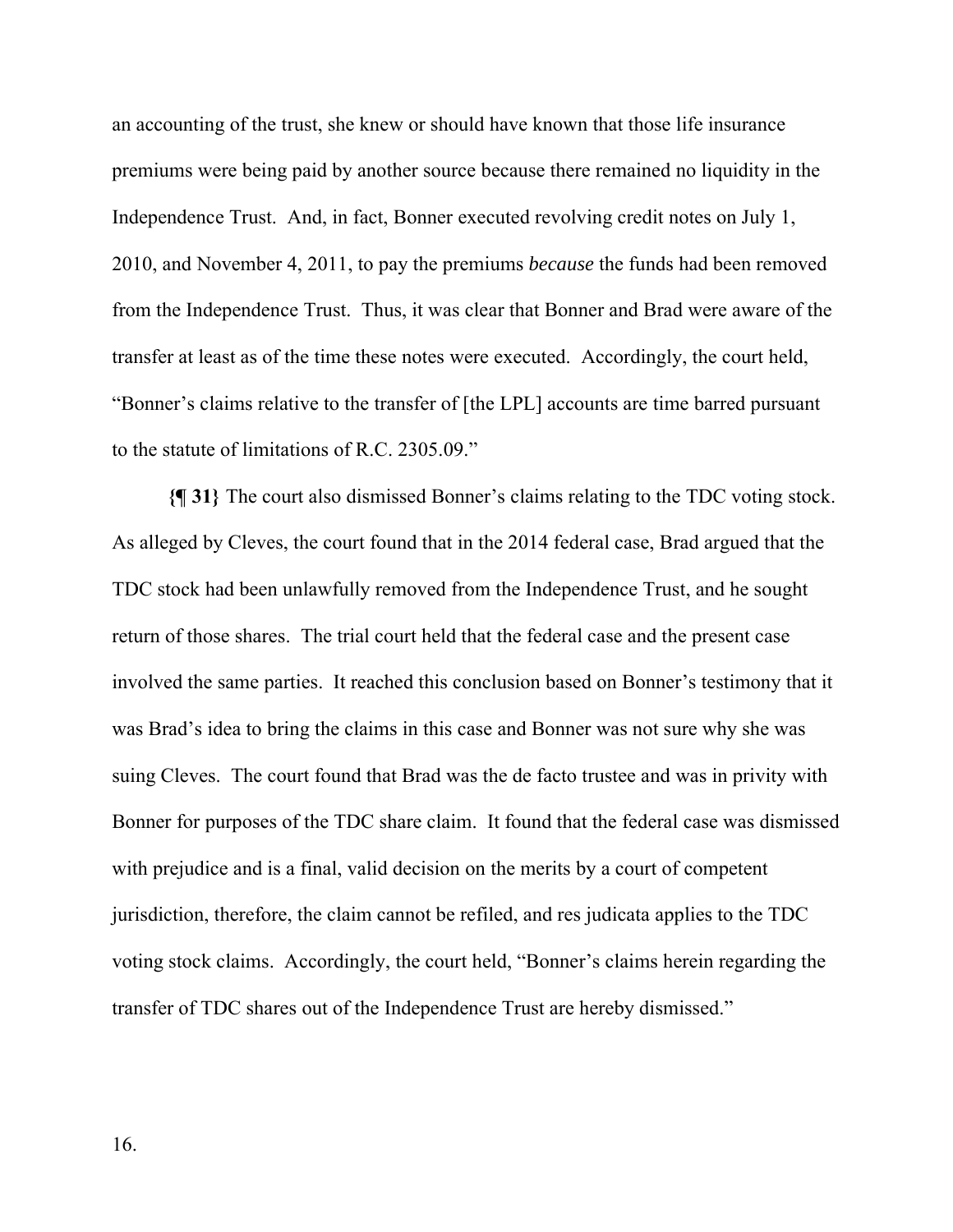an accounting of the trust, she knew or should have known that those life insurance premiums were being paid by another source because there remained no liquidity in the Independence Trust. And, in fact, Bonner executed revolving credit notes on July 1, 2010, and November 4, 2011, to pay the premiums *because* the funds had been removed from the Independence Trust. Thus, it was clear that Bonner and Brad were aware of the transfer at least as of the time these notes were executed. Accordingly, the court held, "Bonner's claims relative to the transfer of [the LPL] accounts are time barred pursuant to the statute of limitations of R.C. 2305.09."

**{¶ 31}** The court also dismissed Bonner's claims relating to the TDC voting stock. As alleged by Cleves, the court found that in the 2014 federal case, Brad argued that the TDC stock had been unlawfully removed from the Independence Trust, and he sought return of those shares. The trial court held that the federal case and the present case involved the same parties. It reached this conclusion based on Bonner's testimony that it was Brad's idea to bring the claims in this case and Bonner was not sure why she was suing Cleves. The court found that Brad was the de facto trustee and was in privity with Bonner for purposes of the TDC share claim. It found that the federal case was dismissed with prejudice and is a final, valid decision on the merits by a court of competent jurisdiction, therefore, the claim cannot be refiled, and res judicata applies to the TDC voting stock claims. Accordingly, the court held, "Bonner's claims herein regarding the transfer of TDC shares out of the Independence Trust are hereby dismissed."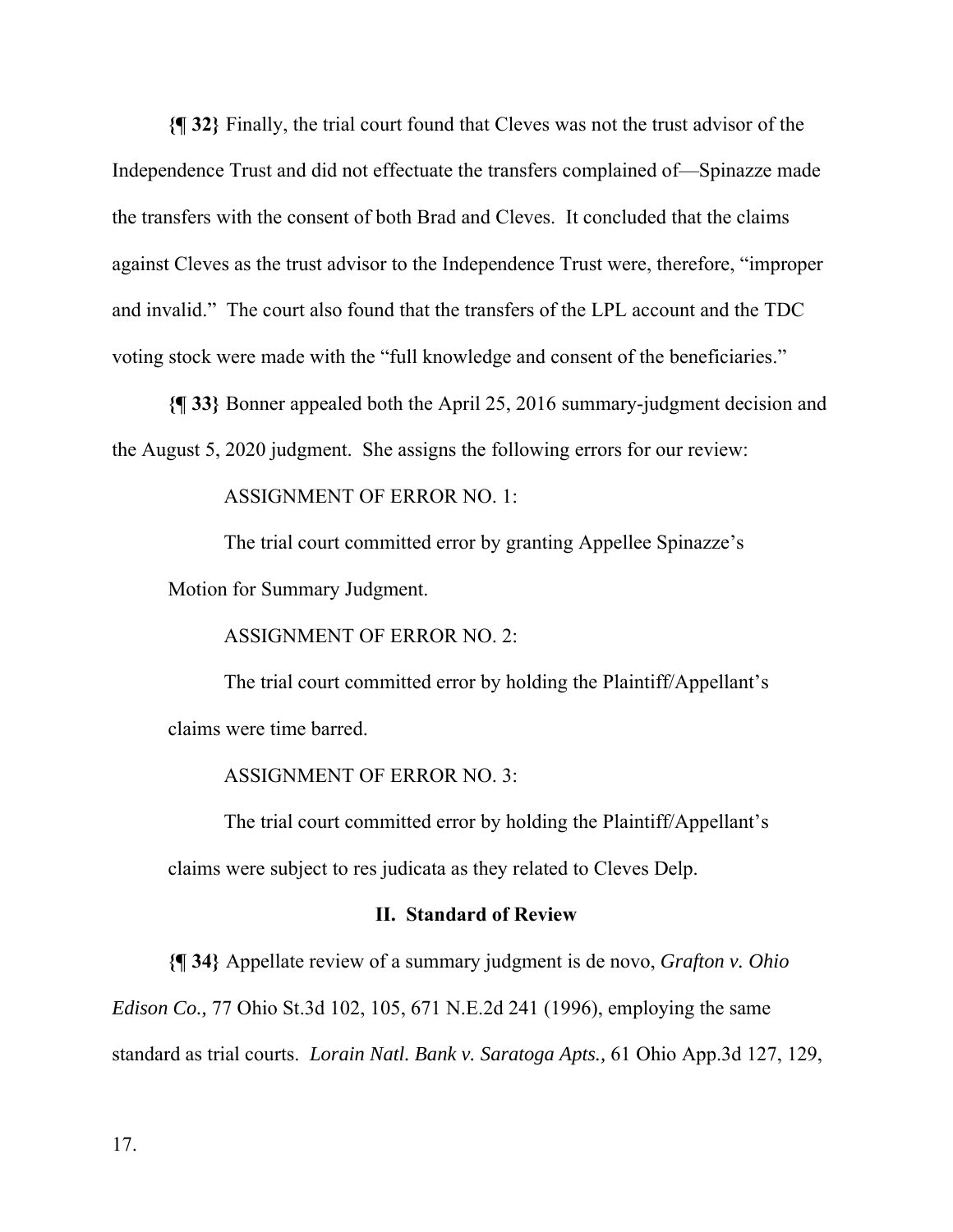**{¶ 32}** Finally, the trial court found that Cleves was not the trust advisor of the Independence Trust and did not effectuate the transfers complained of—Spinazze made the transfers with the consent of both Brad and Cleves. It concluded that the claims against Cleves as the trust advisor to the Independence Trust were, therefore, "improper and invalid." The court also found that the transfers of the LPL account and the TDC voting stock were made with the "full knowledge and consent of the beneficiaries."

**{¶ 33}** Bonner appealed both the April 25, 2016 summary-judgment decision and the August 5, 2020 judgment. She assigns the following errors for our review:

ASSIGNMENT OF ERROR NO. 1:

The trial court committed error by granting Appellee Spinazze's

Motion for Summary Judgment.

ASSIGNMENT OF ERROR NO. 2:

The trial court committed error by holding the Plaintiff/Appellant's claims were time barred.

ASSIGNMENT OF ERROR NO. 3:

The trial court committed error by holding the Plaintiff/Appellant's claims were subject to res judicata as they related to Cleves Delp.

## **II. Standard of Review**

**{¶ 34}** Appellate review of a summary judgment is de novo, *Grafton v. Ohio Edison Co.,* 77 Ohio St.3d 102, 105, 671 N.E.2d 241 (1996), employing the same standard as trial courts. *Lorain Natl. Bank v. Saratoga Apts.,* 61 Ohio App.3d 127, 129,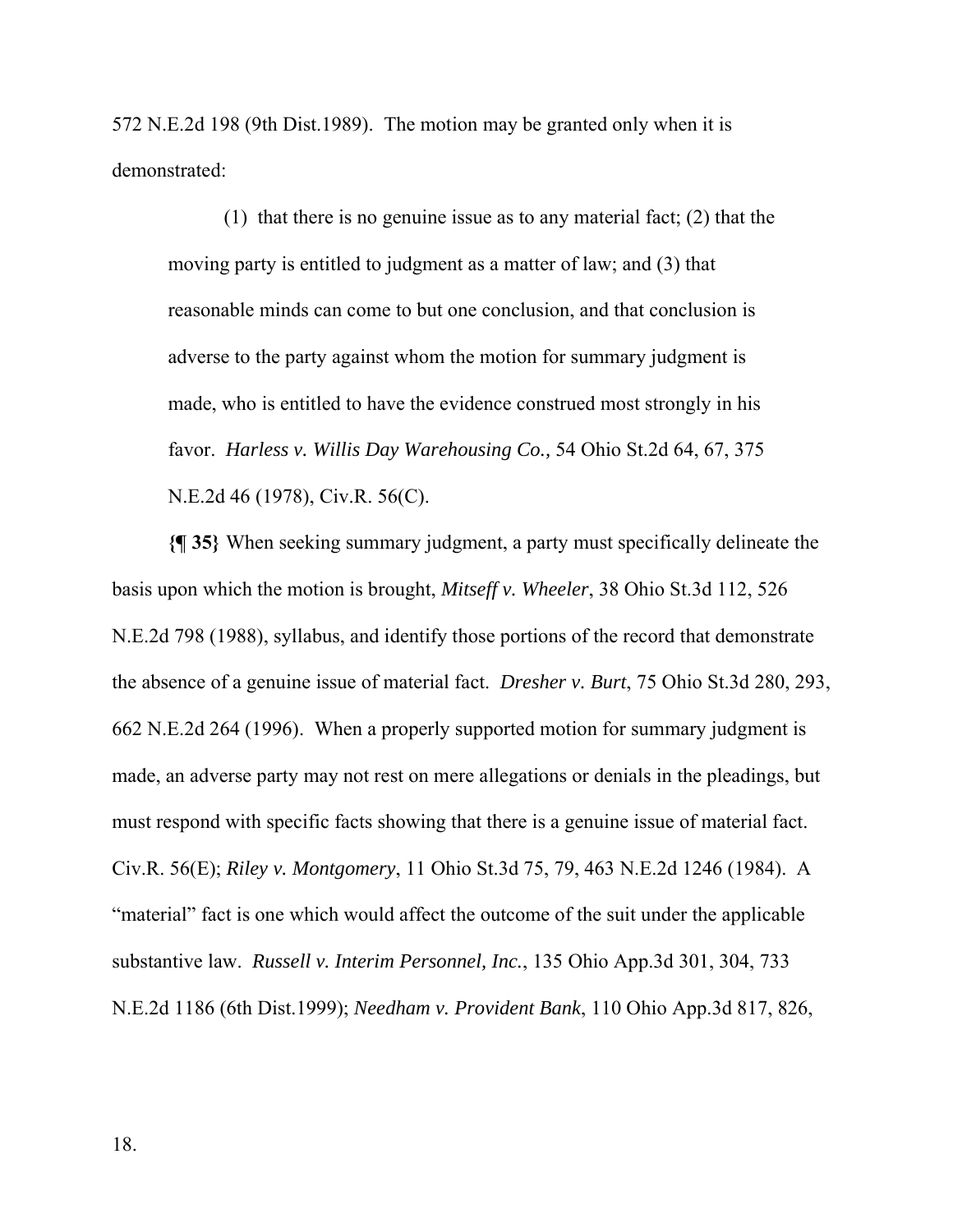572 N.E.2d 198 (9th Dist.1989). The motion may be granted only when it is demonstrated:

(1) that there is no genuine issue as to any material fact; (2) that the moving party is entitled to judgment as a matter of law; and (3) that reasonable minds can come to but one conclusion, and that conclusion is adverse to the party against whom the motion for summary judgment is made, who is entitled to have the evidence construed most strongly in his favor. *Harless v. Willis Day Warehousing Co.,* 54 Ohio St.2d 64, 67, 375 N.E.2d 46 (1978), Civ.R. 56(C).

**{¶ 35}** When seeking summary judgment, a party must specifically delineate the basis upon which the motion is brought, *Mitseff v. Wheeler*, 38 Ohio St.3d 112, 526 N.E.2d 798 (1988), syllabus, and identify those portions of the record that demonstrate the absence of a genuine issue of material fact. *Dresher v. Burt*, 75 Ohio St.3d 280, 293, 662 N.E.2d 264 (1996). When a properly supported motion for summary judgment is made, an adverse party may not rest on mere allegations or denials in the pleadings, but must respond with specific facts showing that there is a genuine issue of material fact. Civ.R. 56(E); *Riley v. Montgomery*, 11 Ohio St.3d 75, 79, 463 N.E.2d 1246 (1984). A "material" fact is one which would affect the outcome of the suit under the applicable substantive law. *Russell v. Interim Personnel, Inc.*, 135 Ohio App.3d 301, 304, 733 N.E.2d 1186 (6th Dist.1999); *Needham v. Provident Bank*, 110 Ohio App.3d 817, 826,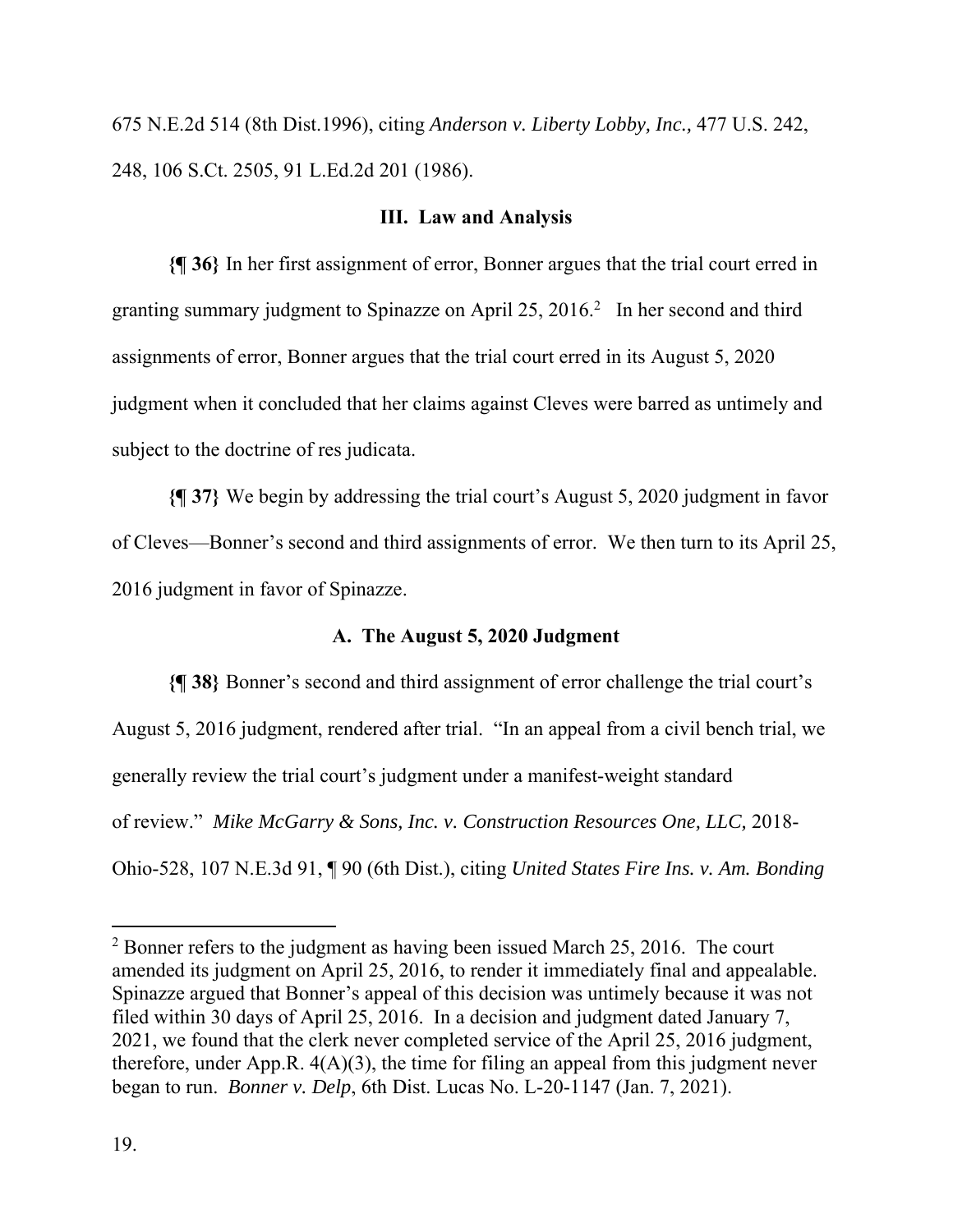675 N.E.2d 514 (8th Dist.1996), citing *Anderson v. Liberty Lobby, Inc.,* 477 U.S. 242, 248, 106 S.Ct. 2505, 91 L.Ed.2d 201 (1986).

# **III. Law and Analysis**

**{¶ 36}** In her first assignment of error, Bonner argues that the trial court erred in granting summary judgment to Spinazze on April 25, 2016.<sup>2</sup> In her second and third assignments of error, Bonner argues that the trial court erred in its August 5, 2020 judgment when it concluded that her claims against Cleves were barred as untimely and subject to the doctrine of res judicata.

**{¶ 37}** We begin by addressing the trial court's August 5, 2020 judgment in favor of Cleves—Bonner's second and third assignments of error. We then turn to its April 25, 2016 judgment in favor of Spinazze.

# **A. The August 5, 2020 Judgment**

**{¶ 38}** Bonner's second and third assignment of error challenge the trial court's August 5, 2016 judgment, rendered after trial. "In an appeal from a civil bench trial, we generally review the trial court's judgment under a manifest-weight standard of review." *Mike McGarry & Sons, Inc. v. Construction Resources One, LLC,* 2018- Ohio-528, 107 N.E.3d 91, ¶ 90 (6th Dist.), citing *United States Fire Ins. v. Am. Bonding* 

 $2^2$  Bonner refers to the judgment as having been issued March 25, 2016. The court amended its judgment on April 25, 2016, to render it immediately final and appealable. Spinazze argued that Bonner's appeal of this decision was untimely because it was not filed within 30 days of April 25, 2016. In a decision and judgment dated January 7, 2021, we found that the clerk never completed service of the April 25, 2016 judgment, therefore, under App.R.  $4(A)(3)$ , the time for filing an appeal from this judgment never began to run. *Bonner v. Delp*, 6th Dist. Lucas No. L-20-1147 (Jan. 7, 2021).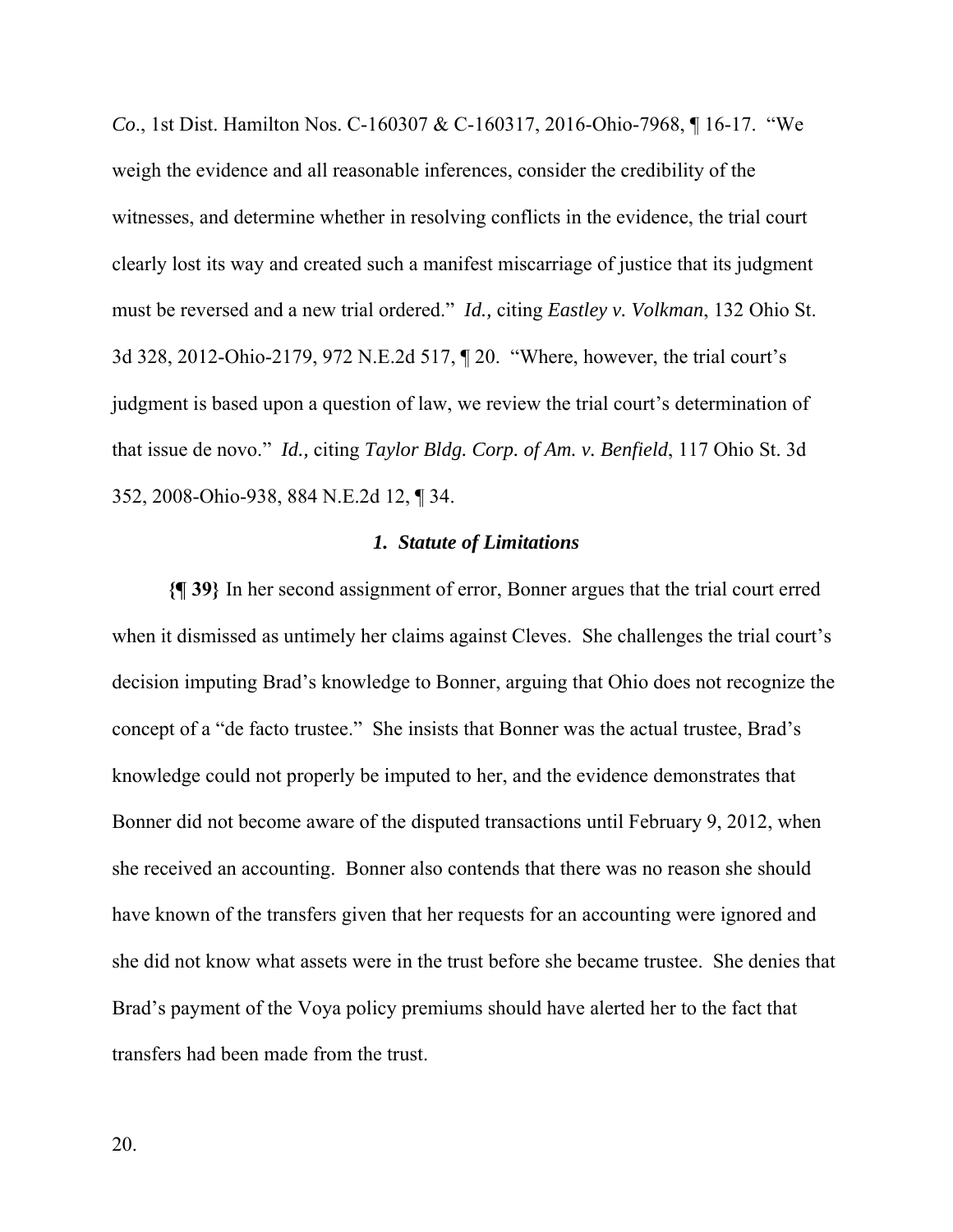*Co*., 1st Dist. Hamilton Nos. C-160307 & C-160317, 2016-Ohio-7968, ¶ 16-17. "We weigh the evidence and all reasonable inferences, consider the credibility of the witnesses, and determine whether in resolving conflicts in the evidence, the trial court clearly lost its way and created such a manifest miscarriage of justice that its judgment must be reversed and a new trial ordered." *Id.,* citing *Eastley v. Volkman*, 132 Ohio St. 3d 328, 2012-Ohio-2179, 972 N.E.2d 517, ¶ 20. "Where, however, the trial court's judgment is based upon a question of law, we review the trial court's determination of that issue de novo." *Id.,* citing *Taylor Bldg. Corp. of Am. v. Benfield*, 117 Ohio St. 3d 352, 2008-Ohio-938, 884 N.E.2d 12, ¶ 34.

#### *1. Statute of Limitations*

**{¶ 39}** In her second assignment of error, Bonner argues that the trial court erred when it dismissed as untimely her claims against Cleves. She challenges the trial court's decision imputing Brad's knowledge to Bonner, arguing that Ohio does not recognize the concept of a "de facto trustee." She insists that Bonner was the actual trustee, Brad's knowledge could not properly be imputed to her, and the evidence demonstrates that Bonner did not become aware of the disputed transactions until February 9, 2012, when she received an accounting. Bonner also contends that there was no reason she should have known of the transfers given that her requests for an accounting were ignored and she did not know what assets were in the trust before she became trustee. She denies that Brad's payment of the Voya policy premiums should have alerted her to the fact that transfers had been made from the trust.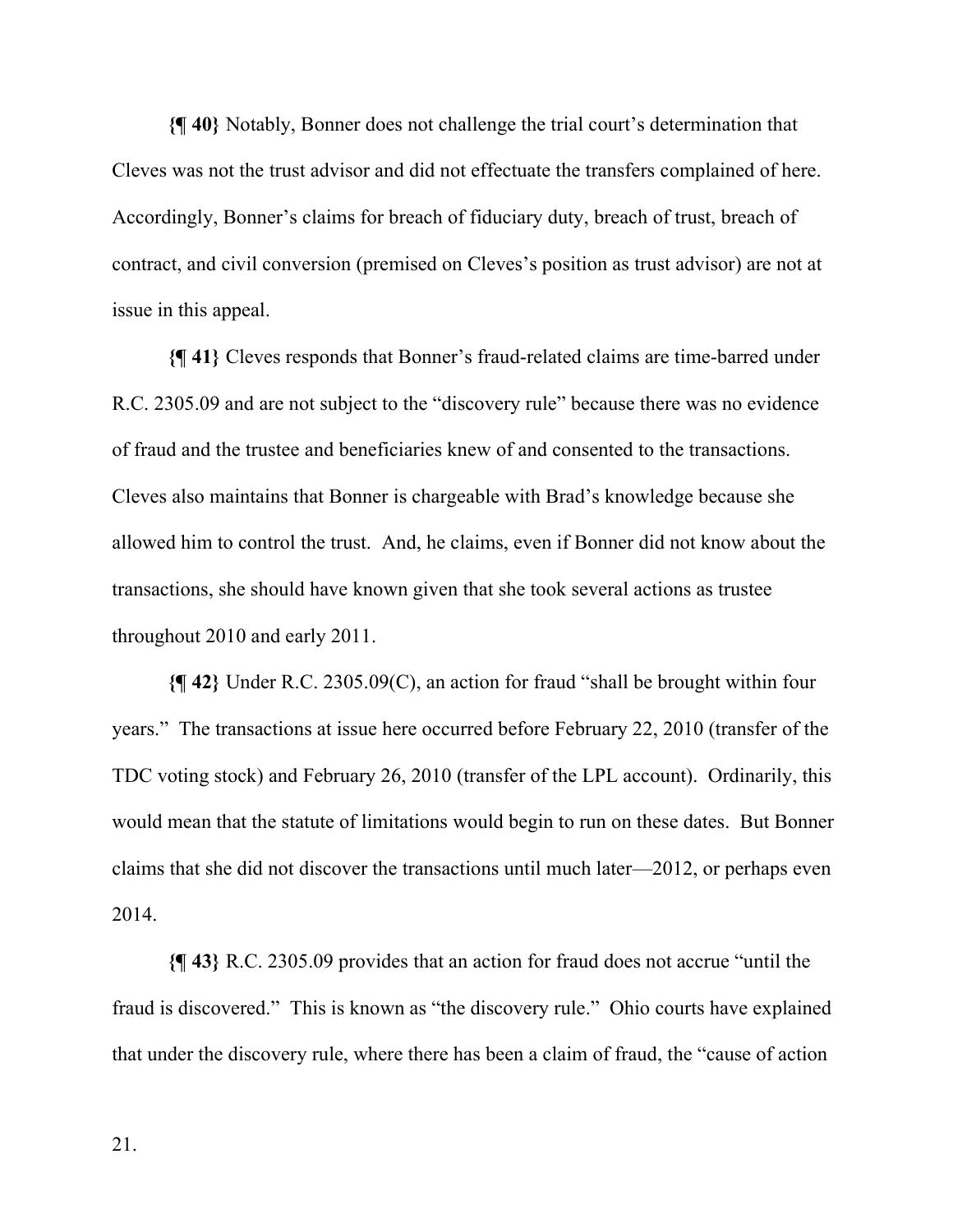**{¶ 40}** Notably, Bonner does not challenge the trial court's determination that Cleves was not the trust advisor and did not effectuate the transfers complained of here. Accordingly, Bonner's claims for breach of fiduciary duty, breach of trust, breach of contract, and civil conversion (premised on Cleves's position as trust advisor) are not at issue in this appeal.

**{¶ 41}** Cleves responds that Bonner's fraud-related claims are time-barred under R.C. 2305.09 and are not subject to the "discovery rule" because there was no evidence of fraud and the trustee and beneficiaries knew of and consented to the transactions. Cleves also maintains that Bonner is chargeable with Brad's knowledge because she allowed him to control the trust. And, he claims, even if Bonner did not know about the transactions, she should have known given that she took several actions as trustee throughout 2010 and early 2011.

**{¶ 42}** Under R.C. 2305.09(C), an action for fraud "shall be brought within four years." The transactions at issue here occurred before February 22, 2010 (transfer of the TDC voting stock) and February 26, 2010 (transfer of the LPL account). Ordinarily, this would mean that the statute of limitations would begin to run on these dates. But Bonner claims that she did not discover the transactions until much later—2012, or perhaps even 2014.

**{¶ 43}** R.C. 2305.09 provides that an action for fraud does not accrue "until the fraud is discovered." This is known as "the discovery rule." Ohio courts have explained that under the discovery rule, where there has been a claim of fraud, the "cause of action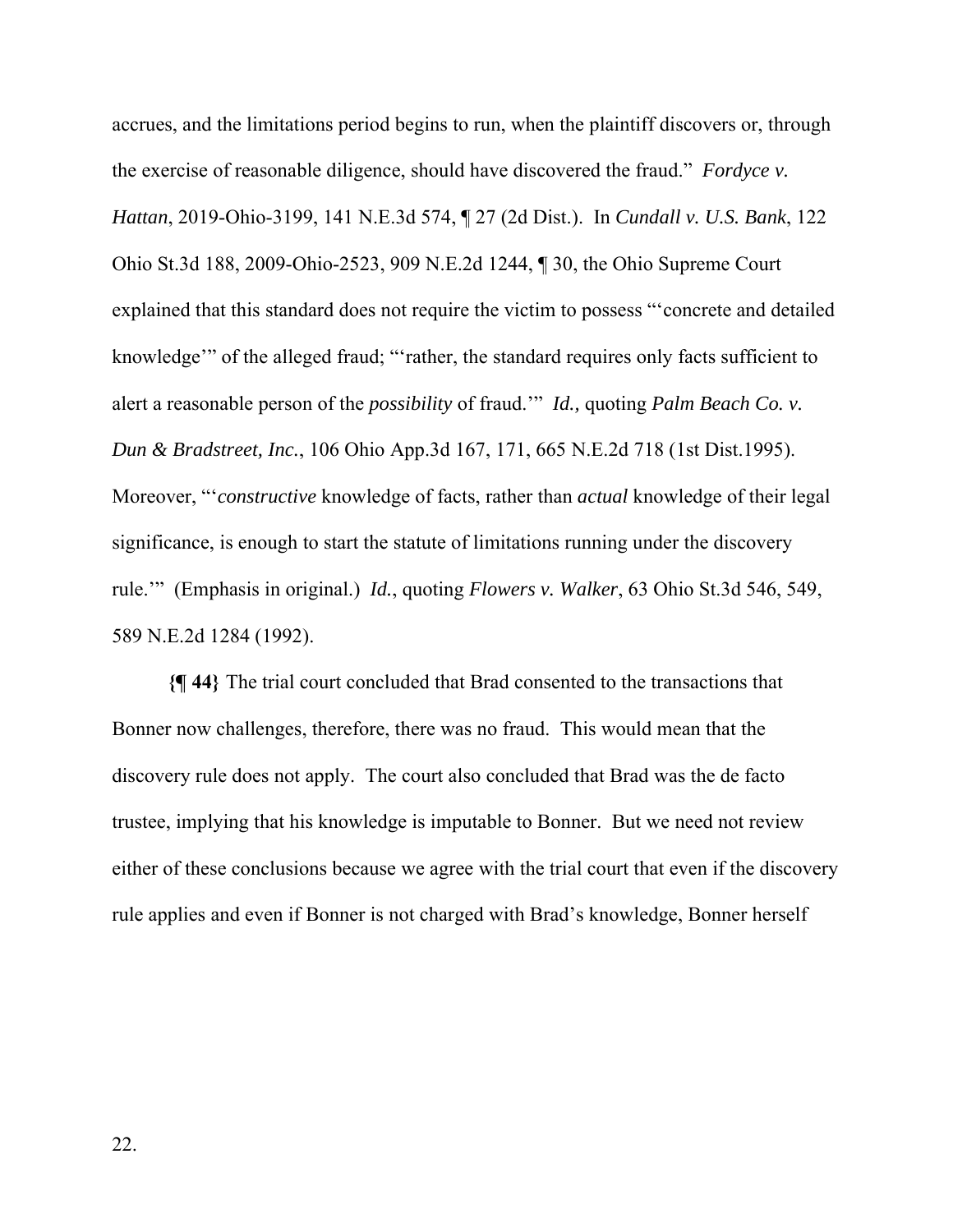accrues, and the limitations period begins to run, when the plaintiff discovers or, through the exercise of reasonable diligence, should have discovered the fraud." *Fordyce v. Hattan*, 2019-Ohio-3199, 141 N.E.3d 574, ¶ 27 (2d Dist.). In *Cundall v. U.S. Bank*, 122 Ohio St.3d 188, 2009-Ohio-2523, 909 N.E.2d 1244, ¶ 30, the Ohio Supreme Court explained that this standard does not require the victim to possess "'concrete and detailed knowledge'" of the alleged fraud; "'rather, the standard requires only facts sufficient to alert a reasonable person of the *possibility* of fraud.'" *Id.,* quoting *Palm Beach Co. v. Dun & Bradstreet, Inc.*, 106 Ohio App.3d 167, 171, 665 N.E.2d 718 (1st Dist.1995). Moreover, "'*constructive* knowledge of facts, rather than *actual* knowledge of their legal significance, is enough to start the statute of limitations running under the discovery rule.'" (Emphasis in original.) *Id.*, quoting *Flowers v. Walker*, 63 Ohio St.3d 546, 549, 589 N.E.2d 1284 (1992).

**{¶ 44}** The trial court concluded that Brad consented to the transactions that Bonner now challenges, therefore, there was no fraud. This would mean that the discovery rule does not apply. The court also concluded that Brad was the de facto trustee, implying that his knowledge is imputable to Bonner. But we need not review either of these conclusions because we agree with the trial court that even if the discovery rule applies and even if Bonner is not charged with Brad's knowledge, Bonner herself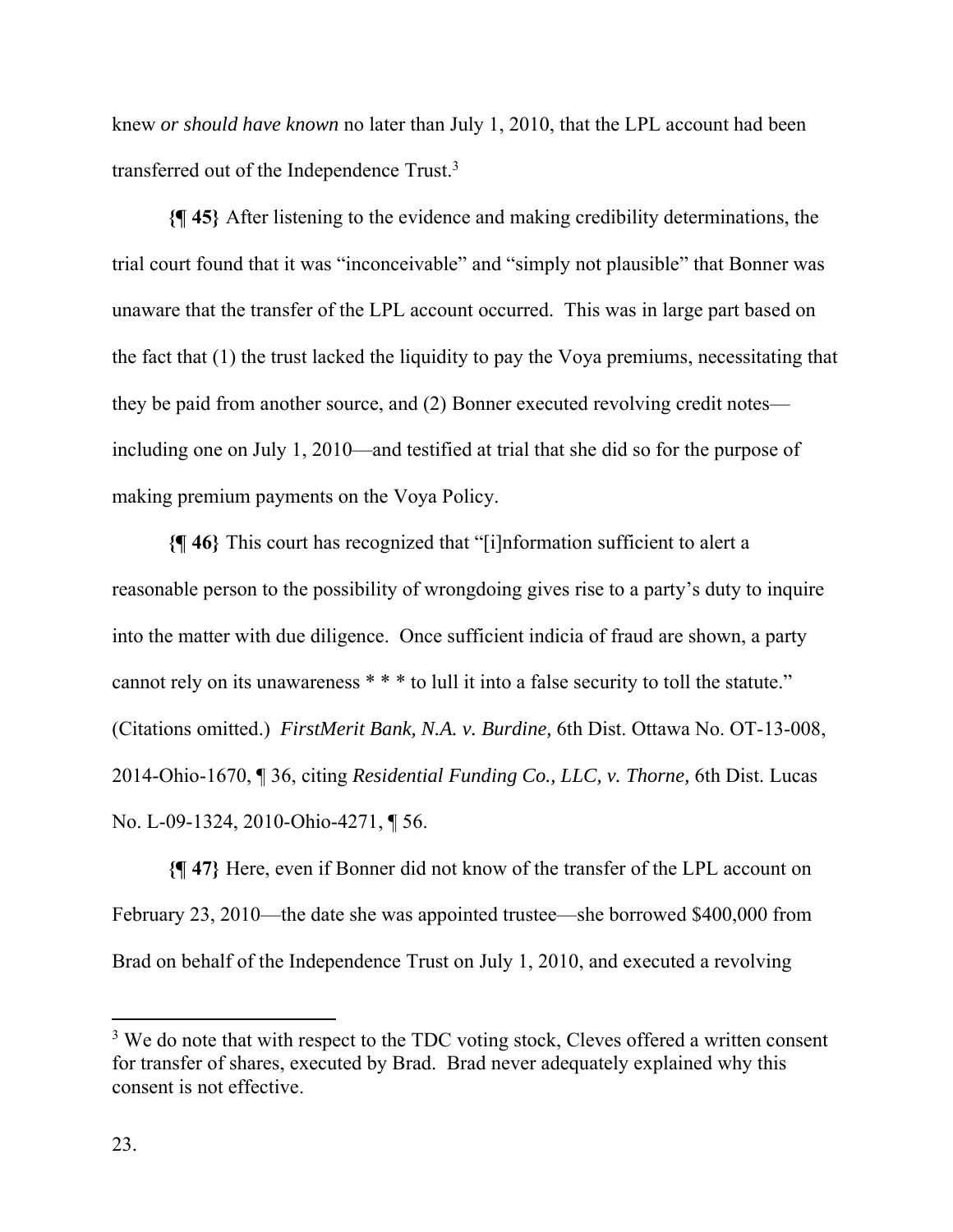knew *or should have known* no later than July 1, 2010, that the LPL account had been transferred out of the Independence Trust.<sup>3</sup>

**{¶ 45}** After listening to the evidence and making credibility determinations, the trial court found that it was "inconceivable" and "simply not plausible" that Bonner was unaware that the transfer of the LPL account occurred. This was in large part based on the fact that (1) the trust lacked the liquidity to pay the Voya premiums, necessitating that they be paid from another source, and (2) Bonner executed revolving credit notes including one on July 1, 2010—and testified at trial that she did so for the purpose of making premium payments on the Voya Policy.

**{¶ 46}** This court has recognized that "[i]nformation sufficient to alert a reasonable person to the possibility of wrongdoing gives rise to a party's duty to inquire into the matter with due diligence. Once sufficient indicia of fraud are shown, a party cannot rely on its unawareness \* \* \* to lull it into a false security to toll the statute." (Citations omitted.) *FirstMerit Bank, N.A. v. Burdine,* 6th Dist. Ottawa No. OT-13-008, 2014-Ohio-1670, ¶ 36, citing *Residential Funding Co., LLC, v. Thorne,* 6th Dist. Lucas No. L-09-1324, 2010-Ohio-4271, ¶ 56.

**{¶ 47}** Here, even if Bonner did not know of the transfer of the LPL account on February 23, 2010—the date she was appointed trustee—she borrowed \$400,000 from Brad on behalf of the Independence Trust on July 1, 2010, and executed a revolving

 $3$  We do note that with respect to the TDC voting stock, Cleves offered a written consent for transfer of shares, executed by Brad. Brad never adequately explained why this consent is not effective.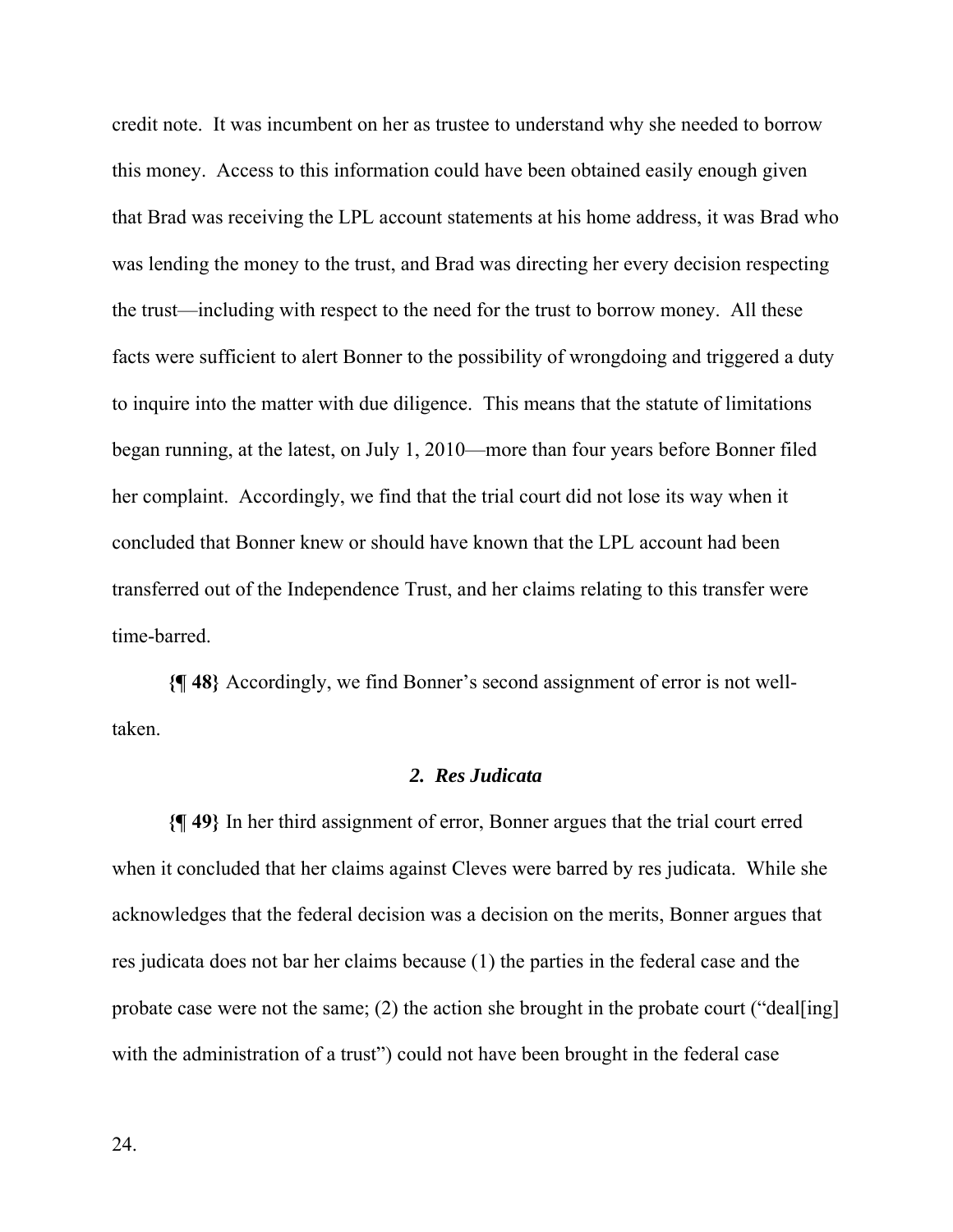credit note. It was incumbent on her as trustee to understand why she needed to borrow this money. Access to this information could have been obtained easily enough given that Brad was receiving the LPL account statements at his home address, it was Brad who was lending the money to the trust, and Brad was directing her every decision respecting the trust—including with respect to the need for the trust to borrow money. All these facts were sufficient to alert Bonner to the possibility of wrongdoing and triggered a duty to inquire into the matter with due diligence. This means that the statute of limitations began running, at the latest, on July 1, 2010—more than four years before Bonner filed her complaint. Accordingly, we find that the trial court did not lose its way when it concluded that Bonner knew or should have known that the LPL account had been transferred out of the Independence Trust, and her claims relating to this transfer were time-barred.

**{¶ 48}** Accordingly, we find Bonner's second assignment of error is not welltaken.

### *2. Res Judicata*

**{¶ 49}** In her third assignment of error, Bonner argues that the trial court erred when it concluded that her claims against Cleves were barred by res judicata. While she acknowledges that the federal decision was a decision on the merits, Bonner argues that res judicata does not bar her claims because (1) the parties in the federal case and the probate case were not the same; (2) the action she brought in the probate court ("deal[ing] with the administration of a trust") could not have been brought in the federal case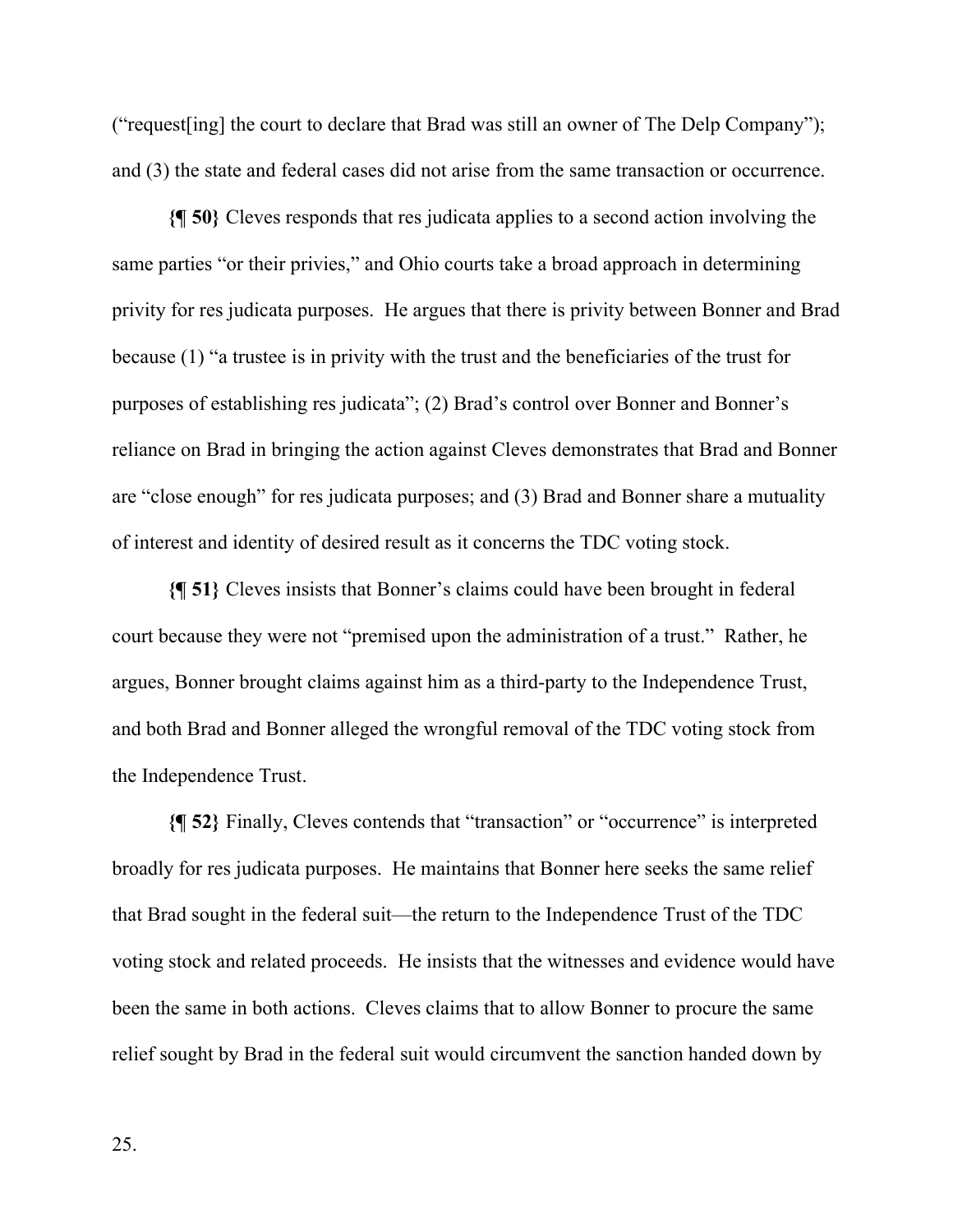("request[ing] the court to declare that Brad was still an owner of The Delp Company"); and (3) the state and federal cases did not arise from the same transaction or occurrence.

**{¶ 50}** Cleves responds that res judicata applies to a second action involving the same parties "or their privies," and Ohio courts take a broad approach in determining privity for res judicata purposes. He argues that there is privity between Bonner and Brad because (1) "a trustee is in privity with the trust and the beneficiaries of the trust for purposes of establishing res judicata"; (2) Brad's control over Bonner and Bonner's reliance on Brad in bringing the action against Cleves demonstrates that Brad and Bonner are "close enough" for res judicata purposes; and (3) Brad and Bonner share a mutuality of interest and identity of desired result as it concerns the TDC voting stock.

**{¶ 51}** Cleves insists that Bonner's claims could have been brought in federal court because they were not "premised upon the administration of a trust." Rather, he argues, Bonner brought claims against him as a third-party to the Independence Trust, and both Brad and Bonner alleged the wrongful removal of the TDC voting stock from the Independence Trust.

**{¶ 52}** Finally, Cleves contends that "transaction" or "occurrence" is interpreted broadly for res judicata purposes. He maintains that Bonner here seeks the same relief that Brad sought in the federal suit—the return to the Independence Trust of the TDC voting stock and related proceeds. He insists that the witnesses and evidence would have been the same in both actions. Cleves claims that to allow Bonner to procure the same relief sought by Brad in the federal suit would circumvent the sanction handed down by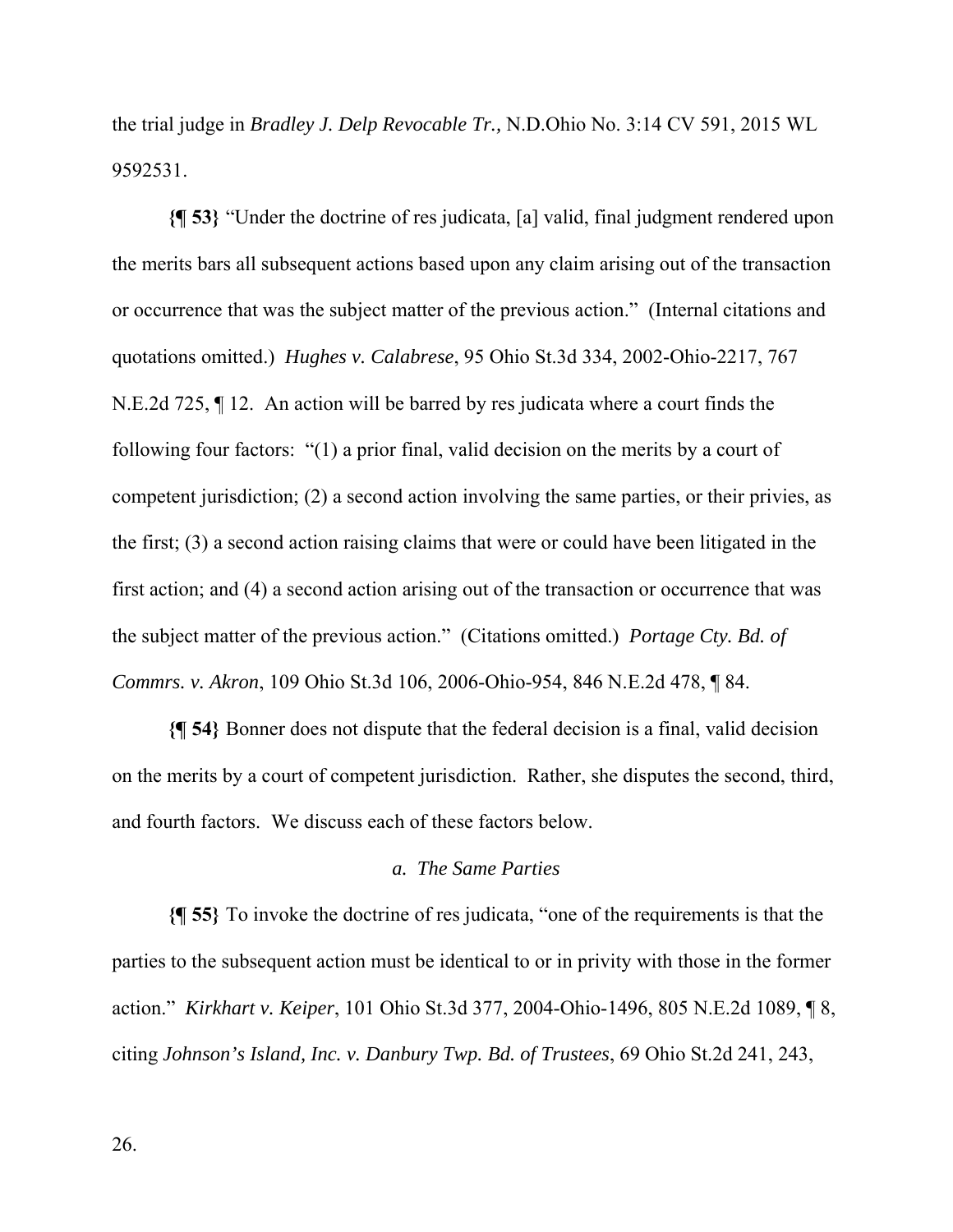the trial judge in *Bradley J. Delp Revocable Tr.,* N.D.Ohio No. 3:14 CV 591, 2015 WL 9592531.

**{¶ 53}** "Under the doctrine of res judicata, [a] valid, final judgment rendered upon the merits bars all subsequent actions based upon any claim arising out of the transaction or occurrence that was the subject matter of the previous action." (Internal citations and quotations omitted.) *Hughes v. Calabrese*, 95 Ohio St.3d 334, 2002-Ohio-2217, 767 N.E.2d 725, ¶ 12. An action will be barred by res judicata where a court finds the following four factors: "(1) a prior final, valid decision on the merits by a court of competent jurisdiction; (2) a second action involving the same parties, or their privies, as the first; (3) a second action raising claims that were or could have been litigated in the first action; and (4) a second action arising out of the transaction or occurrence that was the subject matter of the previous action." (Citations omitted.) *Portage Cty. Bd. of Commrs. v. Akron*, 109 Ohio St.3d 106, 2006-Ohio-954, 846 N.E.2d 478, ¶ 84.

**{¶ 54}** Bonner does not dispute that the federal decision is a final, valid decision on the merits by a court of competent jurisdiction. Rather, she disputes the second, third, and fourth factors. We discuss each of these factors below.

# *a. The Same Parties*

**{¶ 55}** To invoke the doctrine of res judicata, "one of the requirements is that the parties to the subsequent action must be identical to or in privity with those in the former action." *Kirkhart v. Keiper*, 101 Ohio St.3d 377, 2004-Ohio-1496, 805 N.E.2d 1089, ¶ 8, citing *Johnson's Island, Inc. v. Danbury Twp. Bd. of Trustees*, 69 Ohio St.2d 241, 243,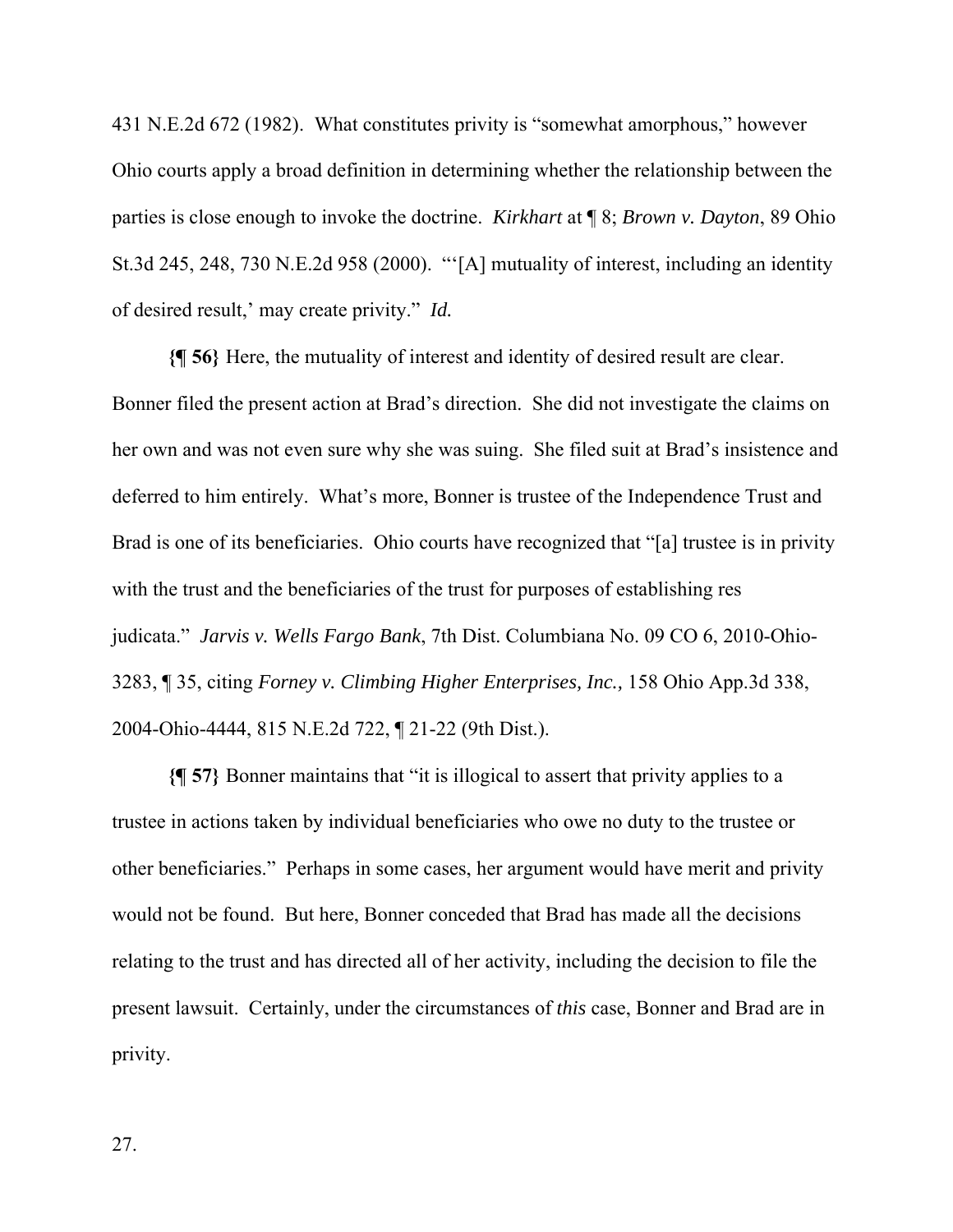431 N.E.2d 672 (1982). What constitutes privity is "somewhat amorphous," however Ohio courts apply a broad definition in determining whether the relationship between the parties is close enough to invoke the doctrine. *Kirkhart* at ¶ 8; *Brown v. Dayton*, 89 Ohio St.3d 245, 248, 730 N.E.2d 958 (2000). "'[A] mutuality of interest, including an identity of desired result,' may create privity." *Id.*

**{¶ 56}** Here, the mutuality of interest and identity of desired result are clear. Bonner filed the present action at Brad's direction. She did not investigate the claims on her own and was not even sure why she was suing. She filed suit at Brad's insistence and deferred to him entirely. What's more, Bonner is trustee of the Independence Trust and Brad is one of its beneficiaries. Ohio courts have recognized that "[a] trustee is in privity with the trust and the beneficiaries of the trust for purposes of establishing res judicata." *Jarvis v. Wells Fargo Bank*, 7th Dist. Columbiana No. 09 CO 6, 2010-Ohio-3283, ¶ 35, citing *Forney v. Climbing Higher Enterprises, Inc.,* 158 Ohio App.3d 338, 2004-Ohio-4444, 815 N.E.2d 722, ¶ 21-22 (9th Dist.).

**{¶ 57}** Bonner maintains that "it is illogical to assert that privity applies to a trustee in actions taken by individual beneficiaries who owe no duty to the trustee or other beneficiaries." Perhaps in some cases, her argument would have merit and privity would not be found. But here, Bonner conceded that Brad has made all the decisions relating to the trust and has directed all of her activity, including the decision to file the present lawsuit. Certainly, under the circumstances of *this* case, Bonner and Brad are in privity.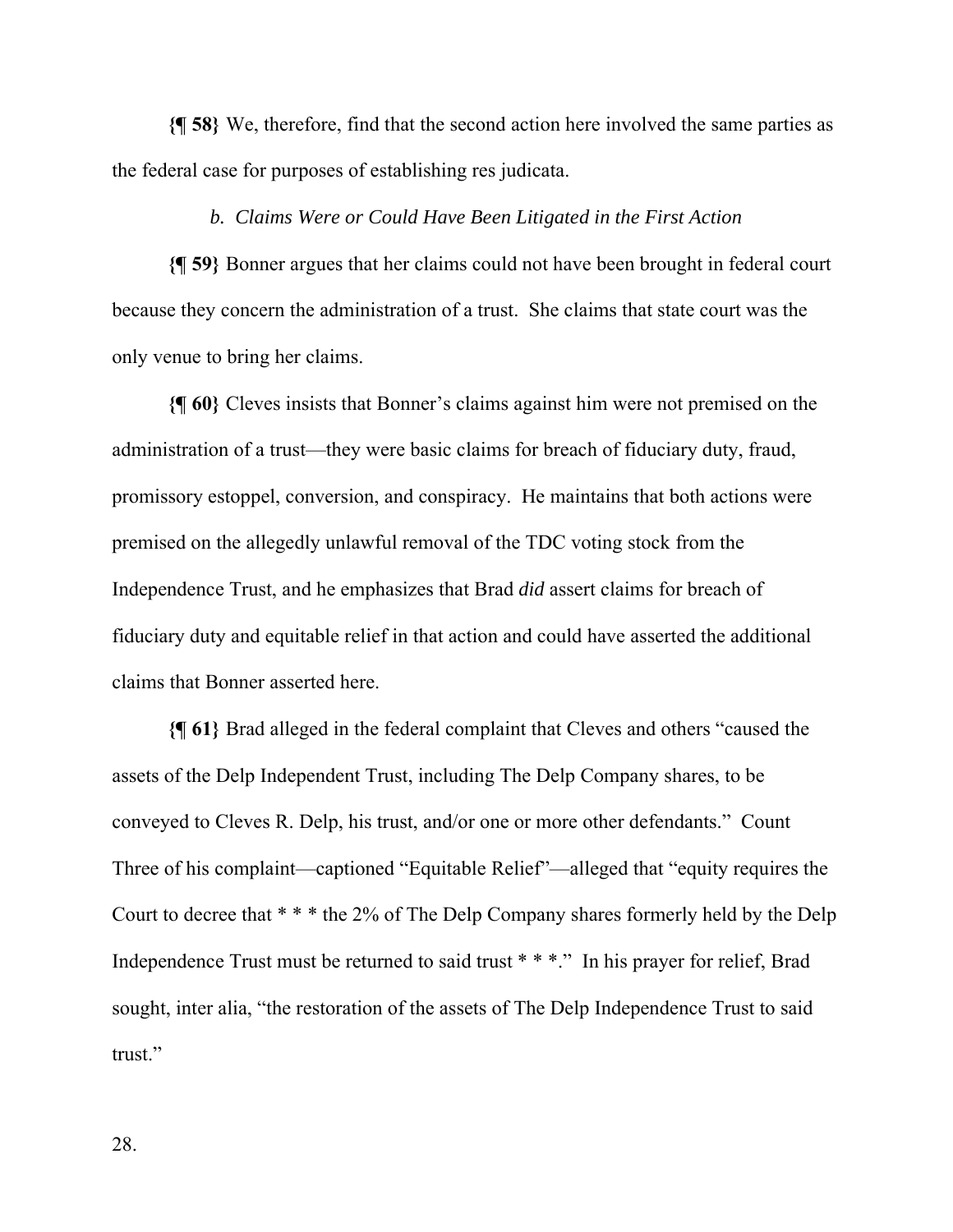**{¶ 58}** We, therefore, find that the second action here involved the same parties as the federal case for purposes of establishing res judicata.

## *b. Claims Were or Could Have Been Litigated in the First Action*

**{¶ 59}** Bonner argues that her claims could not have been brought in federal court because they concern the administration of a trust. She claims that state court was the only venue to bring her claims.

**{¶ 60}** Cleves insists that Bonner's claims against him were not premised on the administration of a trust—they were basic claims for breach of fiduciary duty, fraud, promissory estoppel, conversion, and conspiracy. He maintains that both actions were premised on the allegedly unlawful removal of the TDC voting stock from the Independence Trust, and he emphasizes that Brad *did* assert claims for breach of fiduciary duty and equitable relief in that action and could have asserted the additional claims that Bonner asserted here.

**{¶ 61}** Brad alleged in the federal complaint that Cleves and others "caused the assets of the Delp Independent Trust, including The Delp Company shares, to be conveyed to Cleves R. Delp, his trust, and/or one or more other defendants." Count Three of his complaint—captioned "Equitable Relief"—alleged that "equity requires the Court to decree that \* \* \* the 2% of The Delp Company shares formerly held by the Delp Independence Trust must be returned to said trust \* \* \*." In his prayer for relief, Brad sought, inter alia, "the restoration of the assets of The Delp Independence Trust to said trust."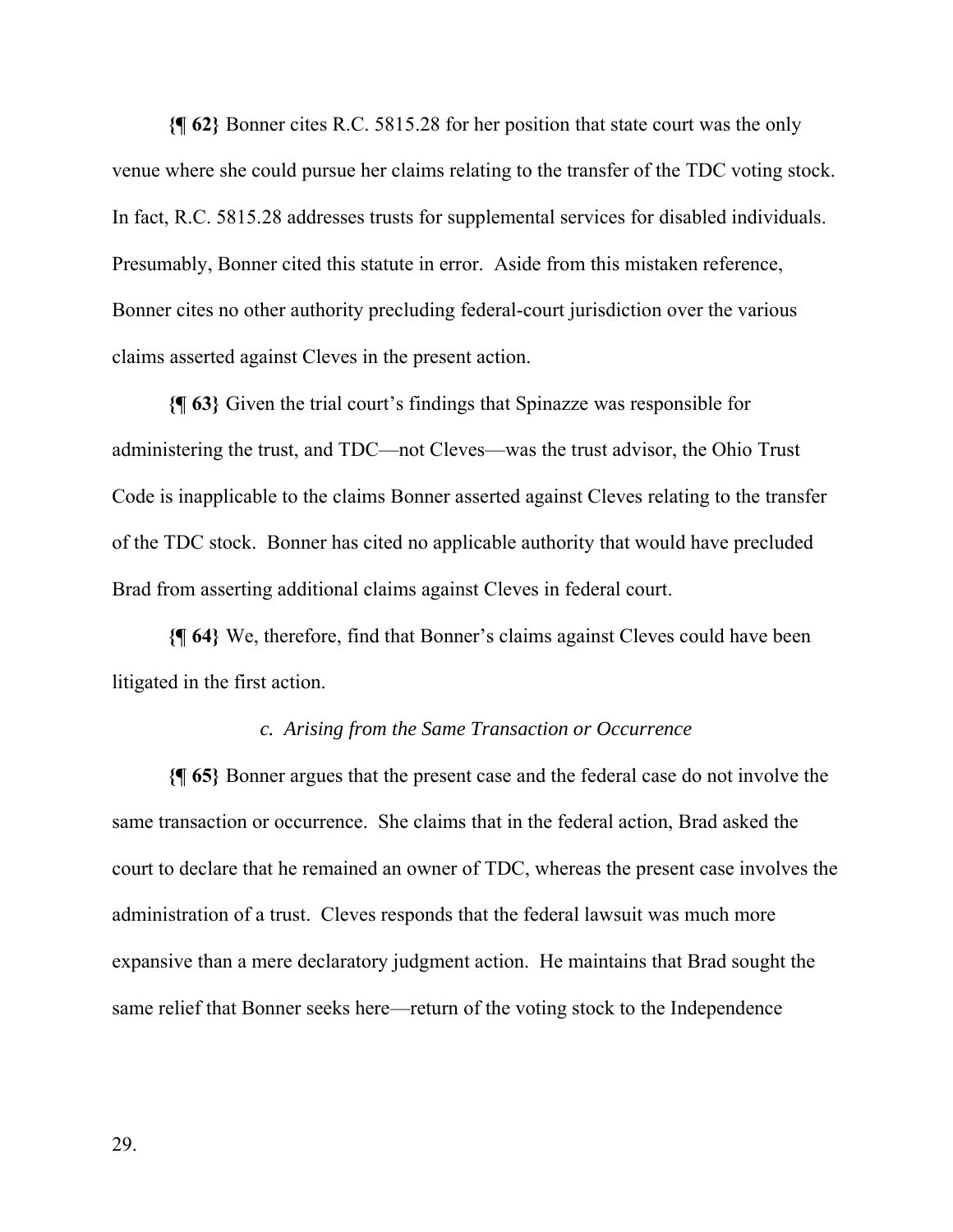**{¶ 62}** Bonner cites R.C. 5815.28 for her position that state court was the only venue where she could pursue her claims relating to the transfer of the TDC voting stock. In fact, R.C. 5815.28 addresses trusts for supplemental services for disabled individuals. Presumably, Bonner cited this statute in error. Aside from this mistaken reference, Bonner cites no other authority precluding federal-court jurisdiction over the various claims asserted against Cleves in the present action.

**{¶ 63}** Given the trial court's findings that Spinazze was responsible for administering the trust, and TDC—not Cleves—was the trust advisor, the Ohio Trust Code is inapplicable to the claims Bonner asserted against Cleves relating to the transfer of the TDC stock. Bonner has cited no applicable authority that would have precluded Brad from asserting additional claims against Cleves in federal court.

**{¶ 64}** We, therefore, find that Bonner's claims against Cleves could have been litigated in the first action.

# *c. Arising from the Same Transaction or Occurrence*

**{¶ 65}** Bonner argues that the present case and the federal case do not involve the same transaction or occurrence. She claims that in the federal action, Brad asked the court to declare that he remained an owner of TDC, whereas the present case involves the administration of a trust. Cleves responds that the federal lawsuit was much more expansive than a mere declaratory judgment action. He maintains that Brad sought the same relief that Bonner seeks here—return of the voting stock to the Independence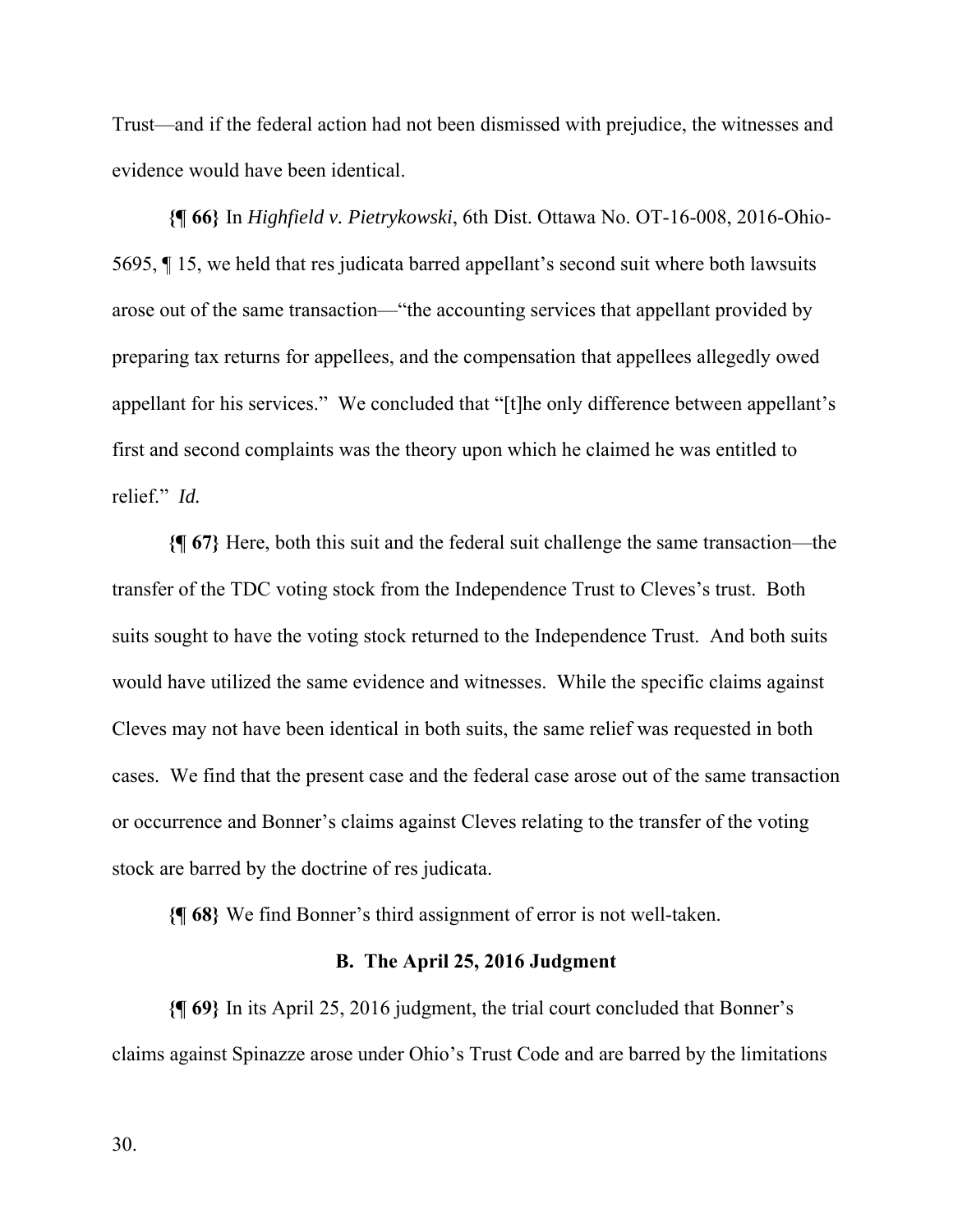Trust—and if the federal action had not been dismissed with prejudice, the witnesses and evidence would have been identical.

**{¶ 66}** In *Highfield v. Pietrykowski*, 6th Dist. Ottawa No. OT-16-008, 2016-Ohio-5695, ¶ 15, we held that res judicata barred appellant's second suit where both lawsuits arose out of the same transaction—"the accounting services that appellant provided by preparing tax returns for appellees, and the compensation that appellees allegedly owed appellant for his services." We concluded that "[t]he only difference between appellant's first and second complaints was the theory upon which he claimed he was entitled to relief." *Id.* 

**{¶ 67}** Here, both this suit and the federal suit challenge the same transaction—the transfer of the TDC voting stock from the Independence Trust to Cleves's trust. Both suits sought to have the voting stock returned to the Independence Trust. And both suits would have utilized the same evidence and witnesses. While the specific claims against Cleves may not have been identical in both suits, the same relief was requested in both cases. We find that the present case and the federal case arose out of the same transaction or occurrence and Bonner's claims against Cleves relating to the transfer of the voting stock are barred by the doctrine of res judicata.

**{¶ 68}** We find Bonner's third assignment of error is not well-taken.

## **B. The April 25, 2016 Judgment**

**{¶ 69}** In its April 25, 2016 judgment, the trial court concluded that Bonner's claims against Spinazze arose under Ohio's Trust Code and are barred by the limitations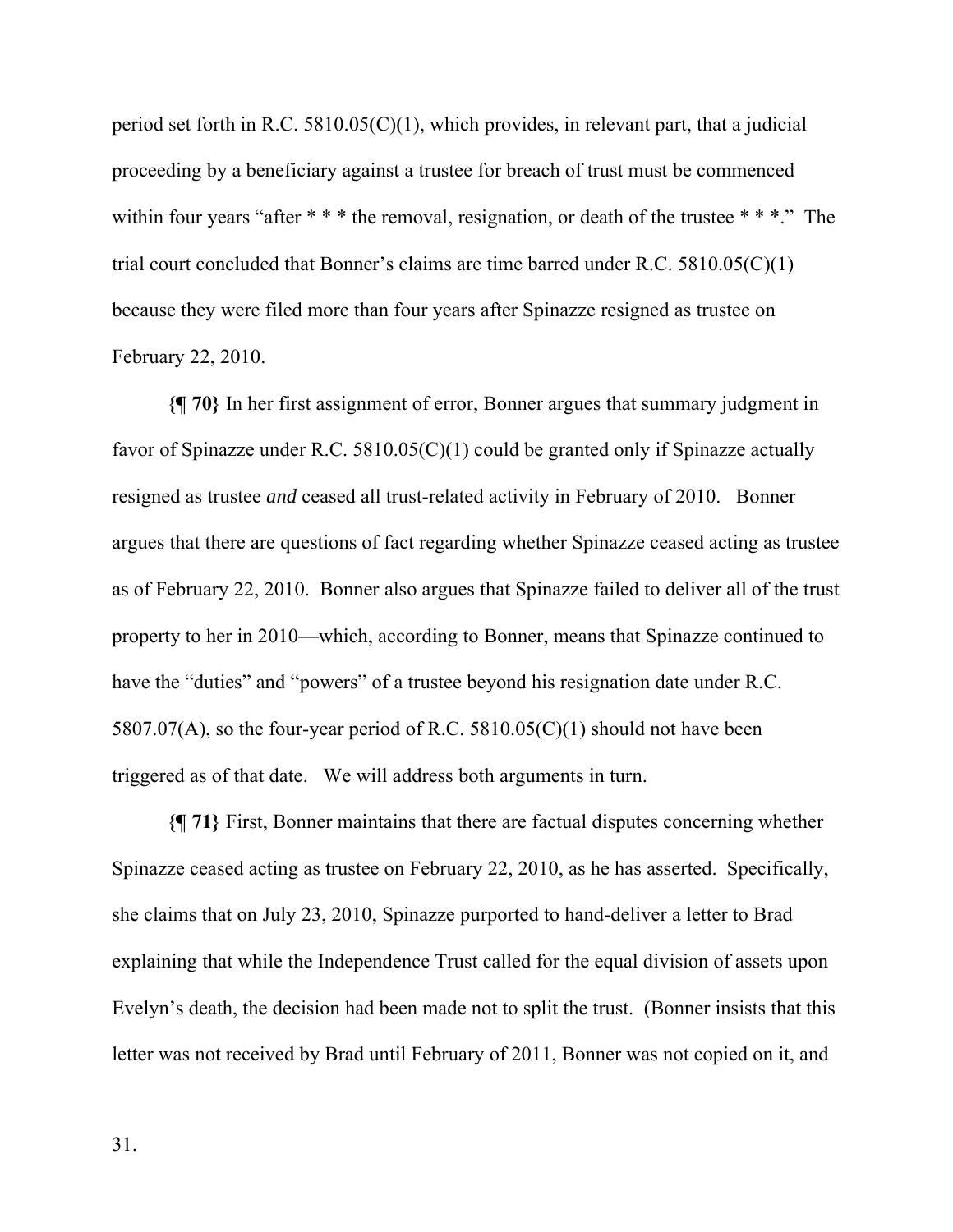period set forth in R.C. 5810.05(C)(1), which provides, in relevant part, that a judicial proceeding by a beneficiary against a trustee for breach of trust must be commenced within four years "after \* \* \* the removal, resignation, or death of the trustee \* \* \*." The trial court concluded that Bonner's claims are time barred under R.C. 5810.05(C)(1) because they were filed more than four years after Spinazze resigned as trustee on February 22, 2010.

**{¶ 70}** In her first assignment of error, Bonner argues that summary judgment in favor of Spinazze under R.C.  $5810.05(C)(1)$  could be granted only if Spinazze actually resigned as trustee *and* ceased all trust-related activity in February of 2010. Bonner argues that there are questions of fact regarding whether Spinazze ceased acting as trustee as of February 22, 2010. Bonner also argues that Spinazze failed to deliver all of the trust property to her in 2010—which, according to Bonner, means that Spinazze continued to have the "duties" and "powers" of a trustee beyond his resignation date under R.C. 5807.07(A), so the four-year period of R.C. 5810.05(C)(1) should not have been triggered as of that date. We will address both arguments in turn.

**{¶ 71}** First, Bonner maintains that there are factual disputes concerning whether Spinazze ceased acting as trustee on February 22, 2010, as he has asserted. Specifically, she claims that on July 23, 2010, Spinazze purported to hand-deliver a letter to Brad explaining that while the Independence Trust called for the equal division of assets upon Evelyn's death, the decision had been made not to split the trust. (Bonner insists that this letter was not received by Brad until February of 2011, Bonner was not copied on it, and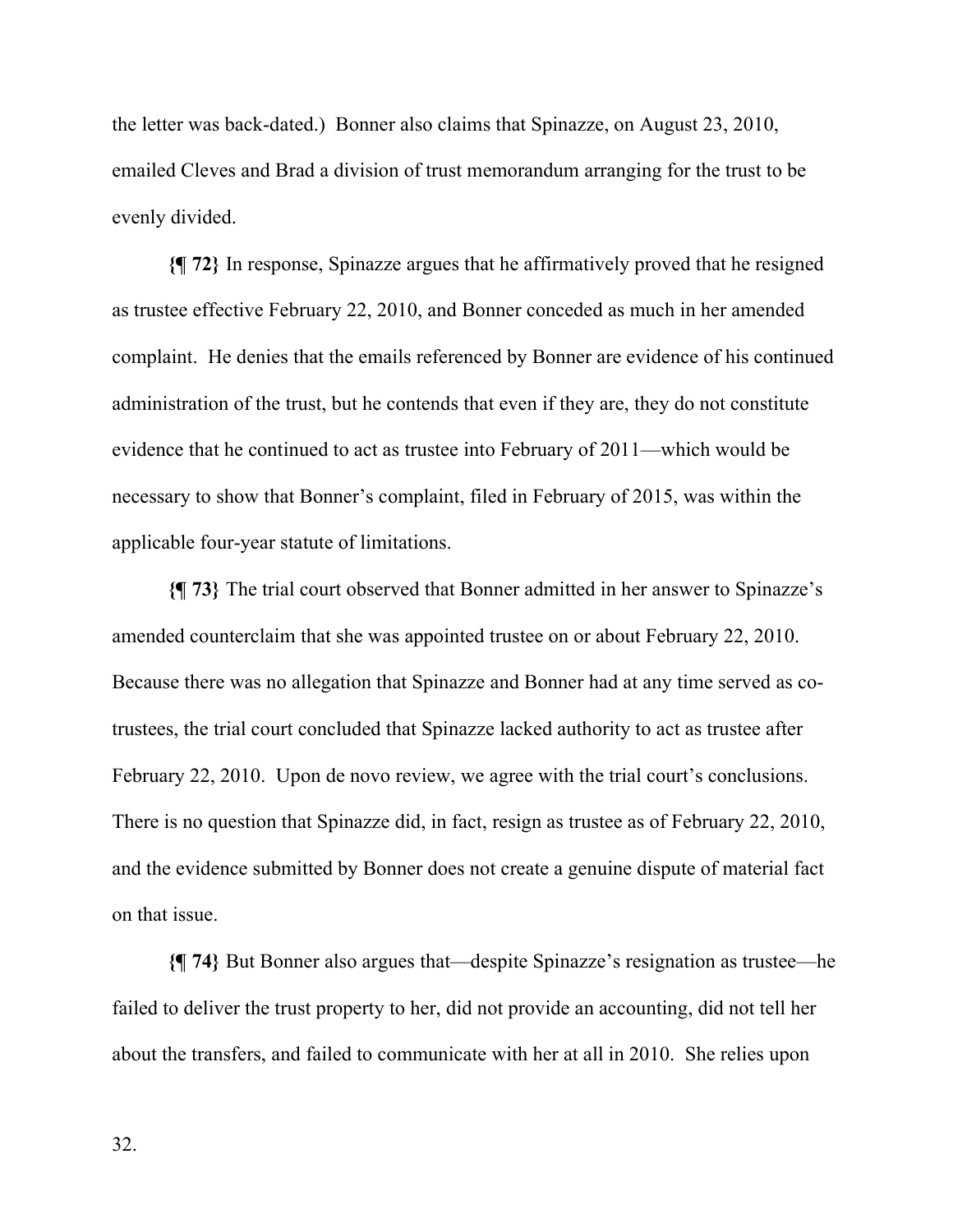the letter was back-dated.) Bonner also claims that Spinazze, on August 23, 2010, emailed Cleves and Brad a division of trust memorandum arranging for the trust to be evenly divided.

**{¶ 72}** In response, Spinazze argues that he affirmatively proved that he resigned as trustee effective February 22, 2010, and Bonner conceded as much in her amended complaint. He denies that the emails referenced by Bonner are evidence of his continued administration of the trust, but he contends that even if they are, they do not constitute evidence that he continued to act as trustee into February of 2011—which would be necessary to show that Bonner's complaint, filed in February of 2015, was within the applicable four-year statute of limitations.

**{¶ 73}** The trial court observed that Bonner admitted in her answer to Spinazze's amended counterclaim that she was appointed trustee on or about February 22, 2010. Because there was no allegation that Spinazze and Bonner had at any time served as cotrustees, the trial court concluded that Spinazze lacked authority to act as trustee after February 22, 2010. Upon de novo review, we agree with the trial court's conclusions. There is no question that Spinazze did, in fact, resign as trustee as of February 22, 2010, and the evidence submitted by Bonner does not create a genuine dispute of material fact on that issue.

**{¶ 74}** But Bonner also argues that—despite Spinazze's resignation as trustee—he failed to deliver the trust property to her, did not provide an accounting, did not tell her about the transfers, and failed to communicate with her at all in 2010. She relies upon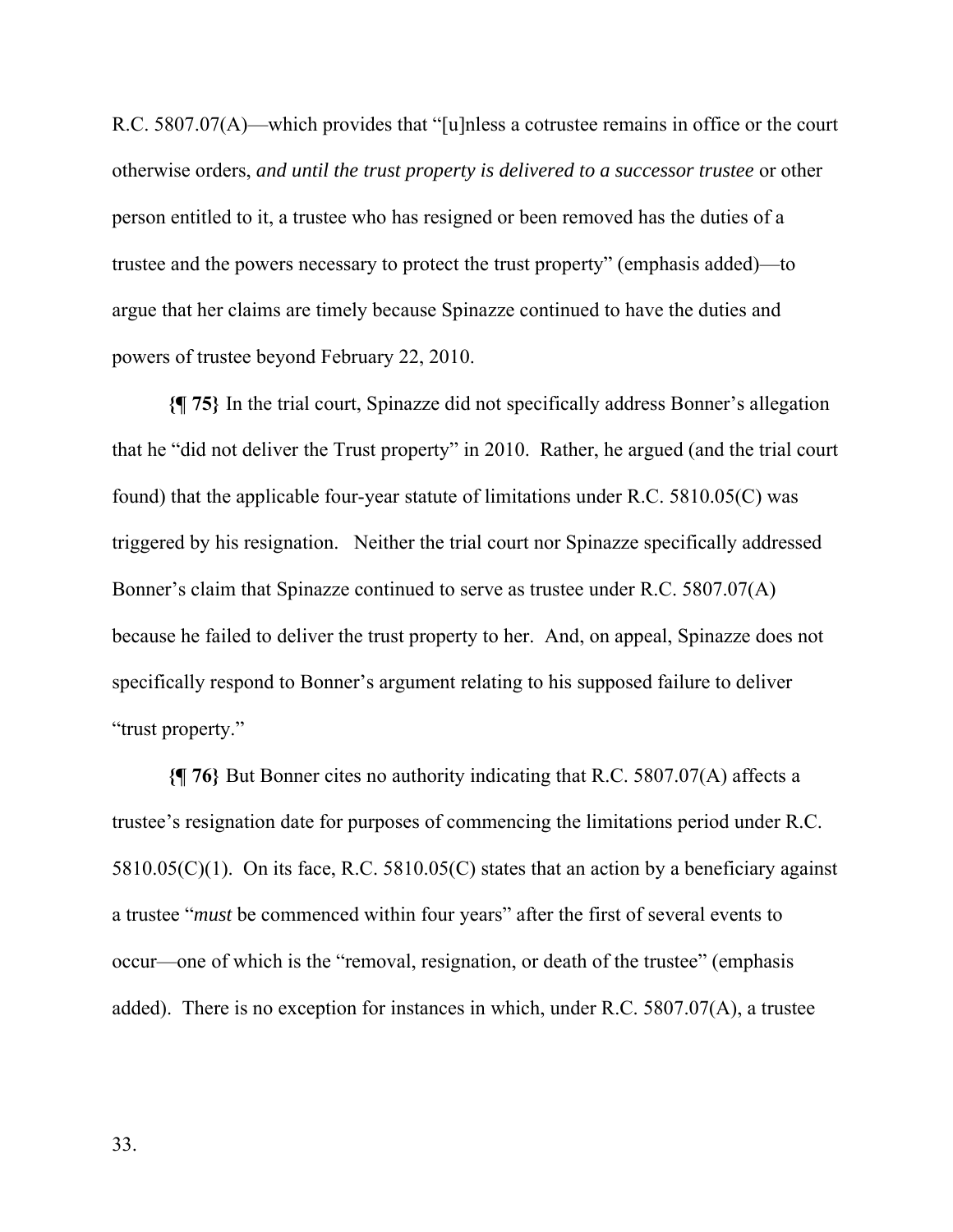R.C. 5807.07(A)—which provides that "[u]nless a cotrustee remains in office or the court otherwise orders, *and until the trust property is delivered to a successor trustee* or other person entitled to it, a trustee who has resigned or been removed has the duties of a trustee and the powers necessary to protect the trust property" (emphasis added)—to argue that her claims are timely because Spinazze continued to have the duties and powers of trustee beyond February 22, 2010.

**{¶ 75}** In the trial court, Spinazze did not specifically address Bonner's allegation that he "did not deliver the Trust property" in 2010. Rather, he argued (and the trial court found) that the applicable four-year statute of limitations under R.C. 5810.05(C) was triggered by his resignation. Neither the trial court nor Spinazze specifically addressed Bonner's claim that Spinazze continued to serve as trustee under R.C. 5807.07(A) because he failed to deliver the trust property to her. And, on appeal, Spinazze does not specifically respond to Bonner's argument relating to his supposed failure to deliver "trust property."

**{¶ 76}** But Bonner cites no authority indicating that R.C. 5807.07(A) affects a trustee's resignation date for purposes of commencing the limitations period under R.C.  $5810.05(C)(1)$ . On its face, R.C.  $5810.05(C)$  states that an action by a beneficiary against a trustee "*must* be commenced within four years" after the first of several events to occur—one of which is the "removal, resignation, or death of the trustee" (emphasis added). There is no exception for instances in which, under R.C. 5807.07(A), a trustee

33.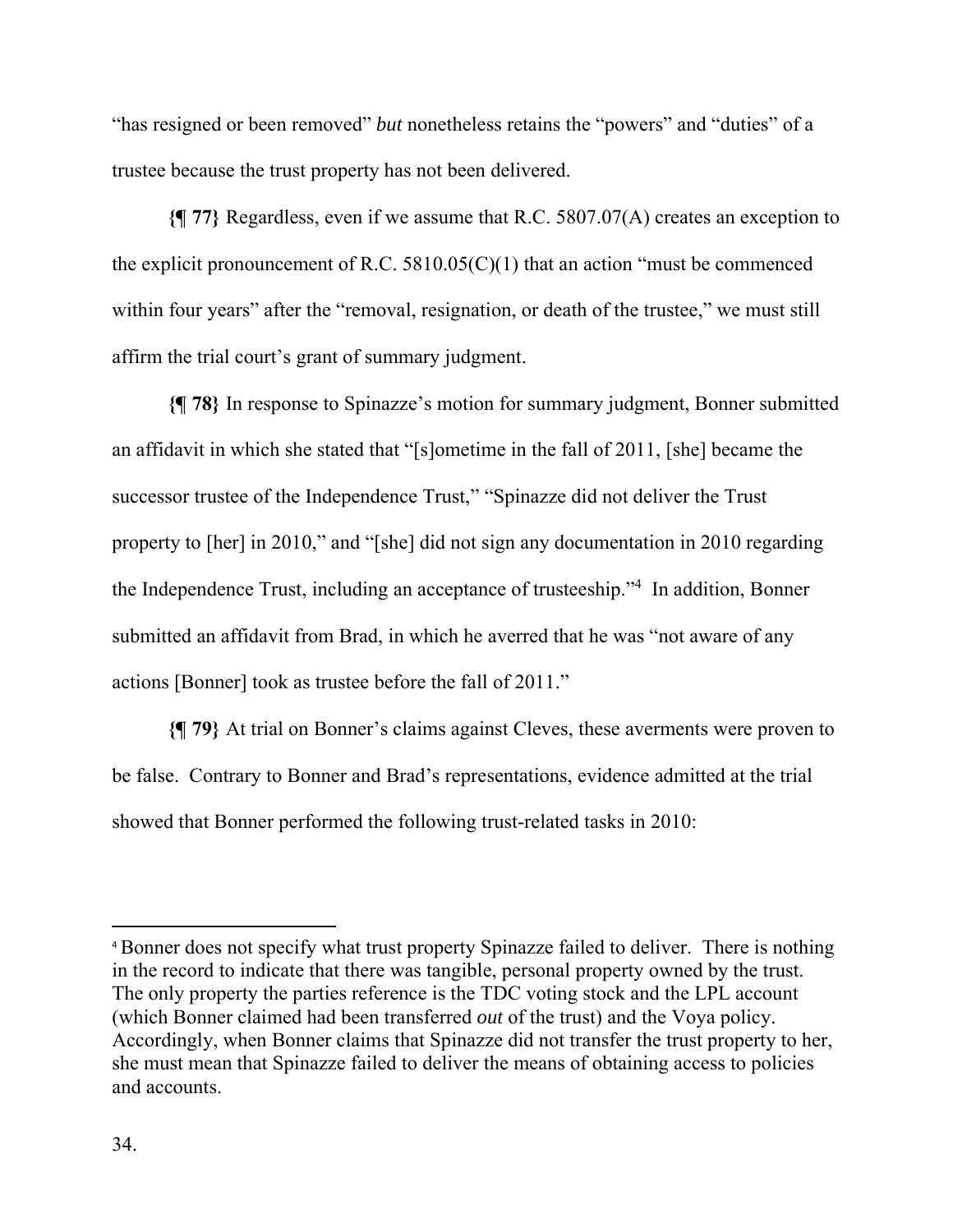"has resigned or been removed" *but* nonetheless retains the "powers" and "duties" of a trustee because the trust property has not been delivered.

**{¶ 77}** Regardless, even if we assume that R.C. 5807.07(A) creates an exception to the explicit pronouncement of R.C.  $5810.05(C)(1)$  that an action "must be commenced within four years" after the "removal, resignation, or death of the trustee," we must still affirm the trial court's grant of summary judgment.

**{¶ 78}** In response to Spinazze's motion for summary judgment, Bonner submitted an affidavit in which she stated that "[s]ometime in the fall of 2011, [she] became the successor trustee of the Independence Trust," "Spinazze did not deliver the Trust property to [her] in 2010," and "[she] did not sign any documentation in 2010 regarding the Independence Trust, including an acceptance of trusteeship."4 In addition, Bonner submitted an affidavit from Brad, in which he averred that he was "not aware of any actions [Bonner] took as trustee before the fall of 2011."

**{¶ 79}** At trial on Bonner's claims against Cleves, these averments were proven to be false. Contrary to Bonner and Brad's representations, evidence admitted at the trial showed that Bonner performed the following trust-related tasks in 2010:

<sup>4</sup> Bonner does not specify what trust property Spinazze failed to deliver. There is nothing in the record to indicate that there was tangible, personal property owned by the trust. The only property the parties reference is the TDC voting stock and the LPL account (which Bonner claimed had been transferred *out* of the trust) and the Voya policy. Accordingly, when Bonner claims that Spinazze did not transfer the trust property to her, she must mean that Spinazze failed to deliver the means of obtaining access to policies and accounts.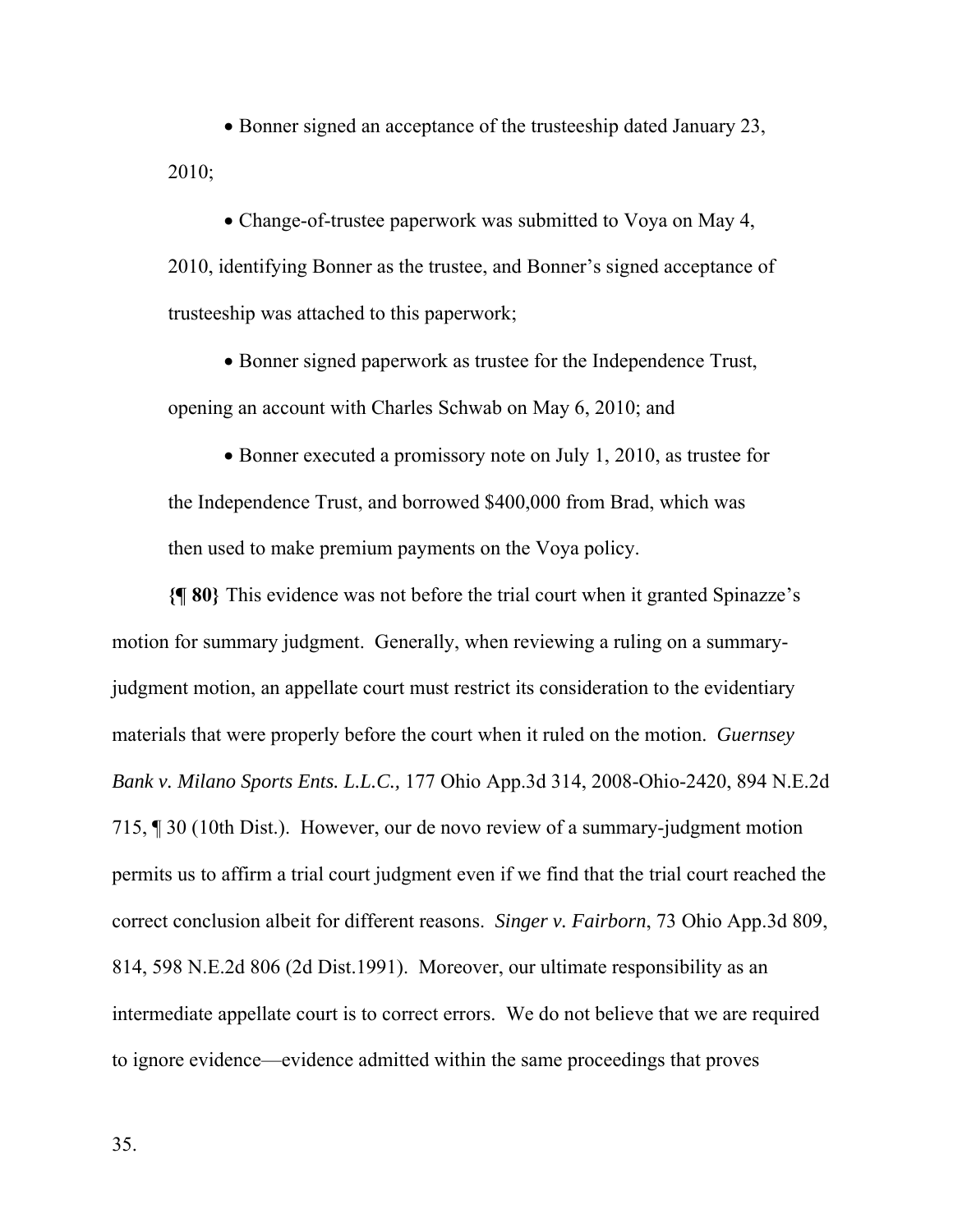• Bonner signed an acceptance of the trusteeship dated January 23, 2010;

 Change-of-trustee paperwork was submitted to Voya on May 4, 2010, identifying Bonner as the trustee, and Bonner's signed acceptance of trusteeship was attached to this paperwork;

• Bonner signed paperwork as trustee for the Independence Trust, opening an account with Charles Schwab on May 6, 2010; and

• Bonner executed a promissory note on July 1, 2010, as trustee for the Independence Trust, and borrowed \$400,000 from Brad, which was then used to make premium payments on the Voya policy.

**{¶ 80}** This evidence was not before the trial court when it granted Spinazze's motion for summary judgment. Generally, when reviewing a ruling on a summaryjudgment motion, an appellate court must restrict its consideration to the evidentiary materials that were properly before the court when it ruled on the motion. *Guernsey Bank v. Milano Sports Ents. L.L.C.,* 177 Ohio App.3d 314, 2008-Ohio-2420, 894 N.E.2d 715, ¶ 30 (10th Dist.). However, our de novo review of a summary-judgment motion permits us to affirm a trial court judgment even if we find that the trial court reached the correct conclusion albeit for different reasons. *Singer v. Fairborn*, 73 Ohio App.3d 809, 814, 598 N.E.2d 806 (2d Dist.1991). Moreover, our ultimate responsibility as an intermediate appellate court is to correct errors. We do not believe that we are required to ignore evidence—evidence admitted within the same proceedings that proves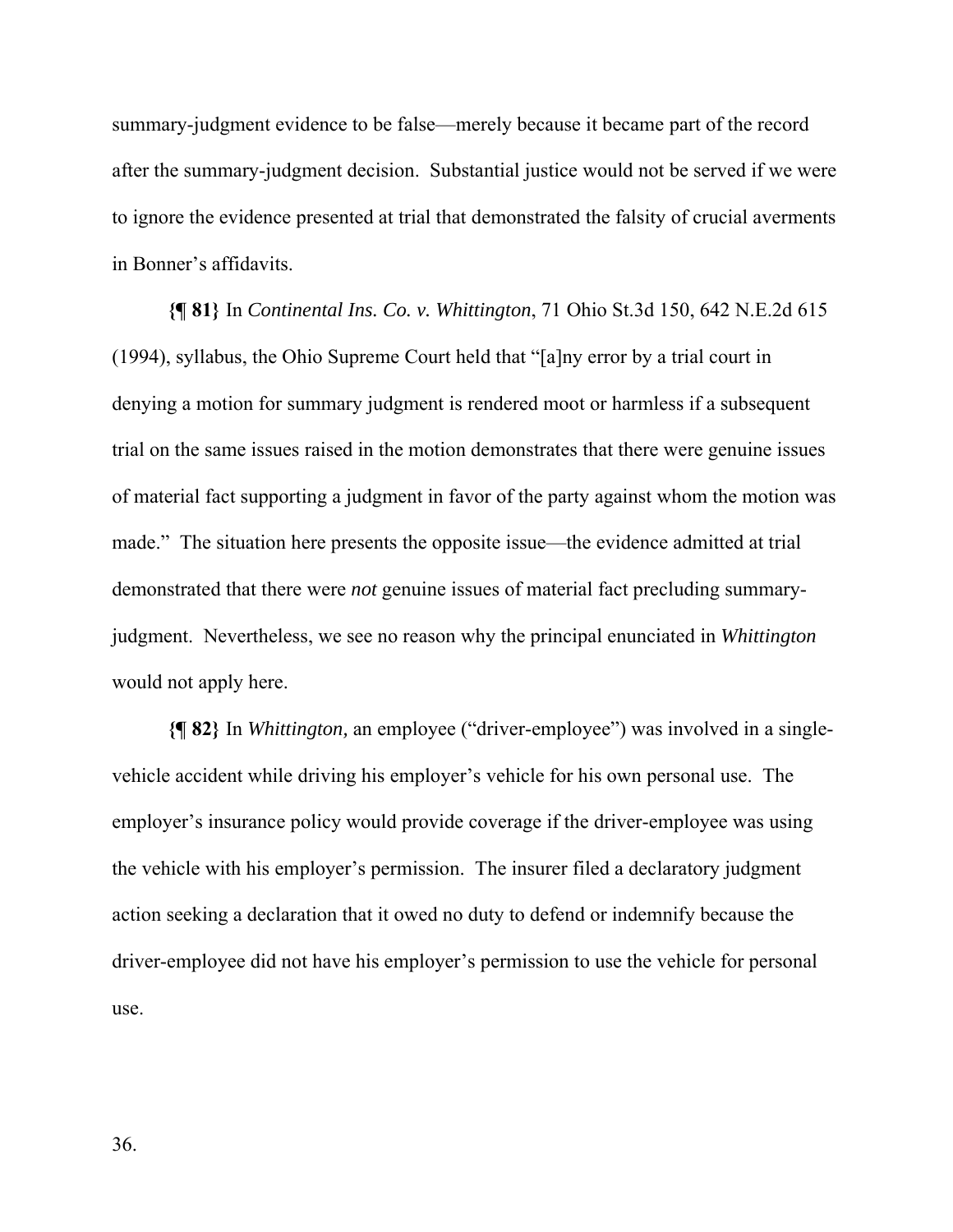summary-judgment evidence to be false—merely because it became part of the record after the summary-judgment decision. Substantial justice would not be served if we were to ignore the evidence presented at trial that demonstrated the falsity of crucial averments in Bonner's affidavits.

**{¶ 81}** In *Continental Ins. Co. v. Whittington*, 71 Ohio St.3d 150, 642 N.E.2d 615 (1994), syllabus, the Ohio Supreme Court held that "[a]ny error by a trial court in denying a motion for summary judgment is rendered moot or harmless if a subsequent trial on the same issues raised in the motion demonstrates that there were genuine issues of material fact supporting a judgment in favor of the party against whom the motion was made." The situation here presents the opposite issue—the evidence admitted at trial demonstrated that there were *not* genuine issues of material fact precluding summaryjudgment. Nevertheless, we see no reason why the principal enunciated in *Whittington*  would not apply here.

**{¶ 82}** In *Whittington,* an employee ("driver-employee") was involved in a singlevehicle accident while driving his employer's vehicle for his own personal use. The employer's insurance policy would provide coverage if the driver-employee was using the vehicle with his employer's permission. The insurer filed a declaratory judgment action seeking a declaration that it owed no duty to defend or indemnify because the driver-employee did not have his employer's permission to use the vehicle for personal use.

36.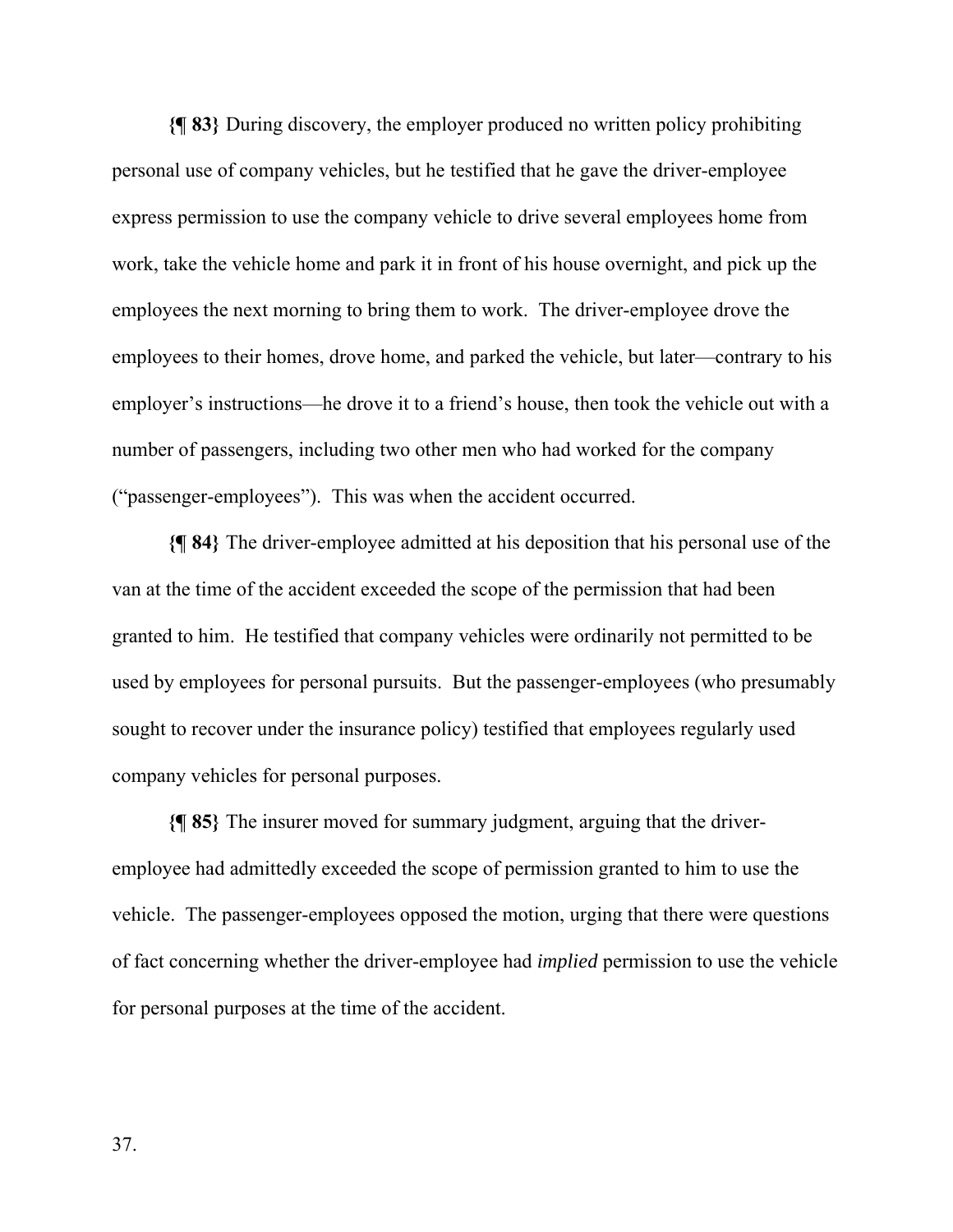**{¶ 83}** During discovery, the employer produced no written policy prohibiting personal use of company vehicles, but he testified that he gave the driver-employee express permission to use the company vehicle to drive several employees home from work, take the vehicle home and park it in front of his house overnight, and pick up the employees the next morning to bring them to work. The driver-employee drove the employees to their homes, drove home, and parked the vehicle, but later—contrary to his employer's instructions—he drove it to a friend's house, then took the vehicle out with a number of passengers, including two other men who had worked for the company ("passenger-employees"). This was when the accident occurred.

**{¶ 84}** The driver-employee admitted at his deposition that his personal use of the van at the time of the accident exceeded the scope of the permission that had been granted to him. He testified that company vehicles were ordinarily not permitted to be used by employees for personal pursuits. But the passenger-employees (who presumably sought to recover under the insurance policy) testified that employees regularly used company vehicles for personal purposes.

**{¶ 85}** The insurer moved for summary judgment, arguing that the driveremployee had admittedly exceeded the scope of permission granted to him to use the vehicle. The passenger-employees opposed the motion, urging that there were questions of fact concerning whether the driver-employee had *implied* permission to use the vehicle for personal purposes at the time of the accident.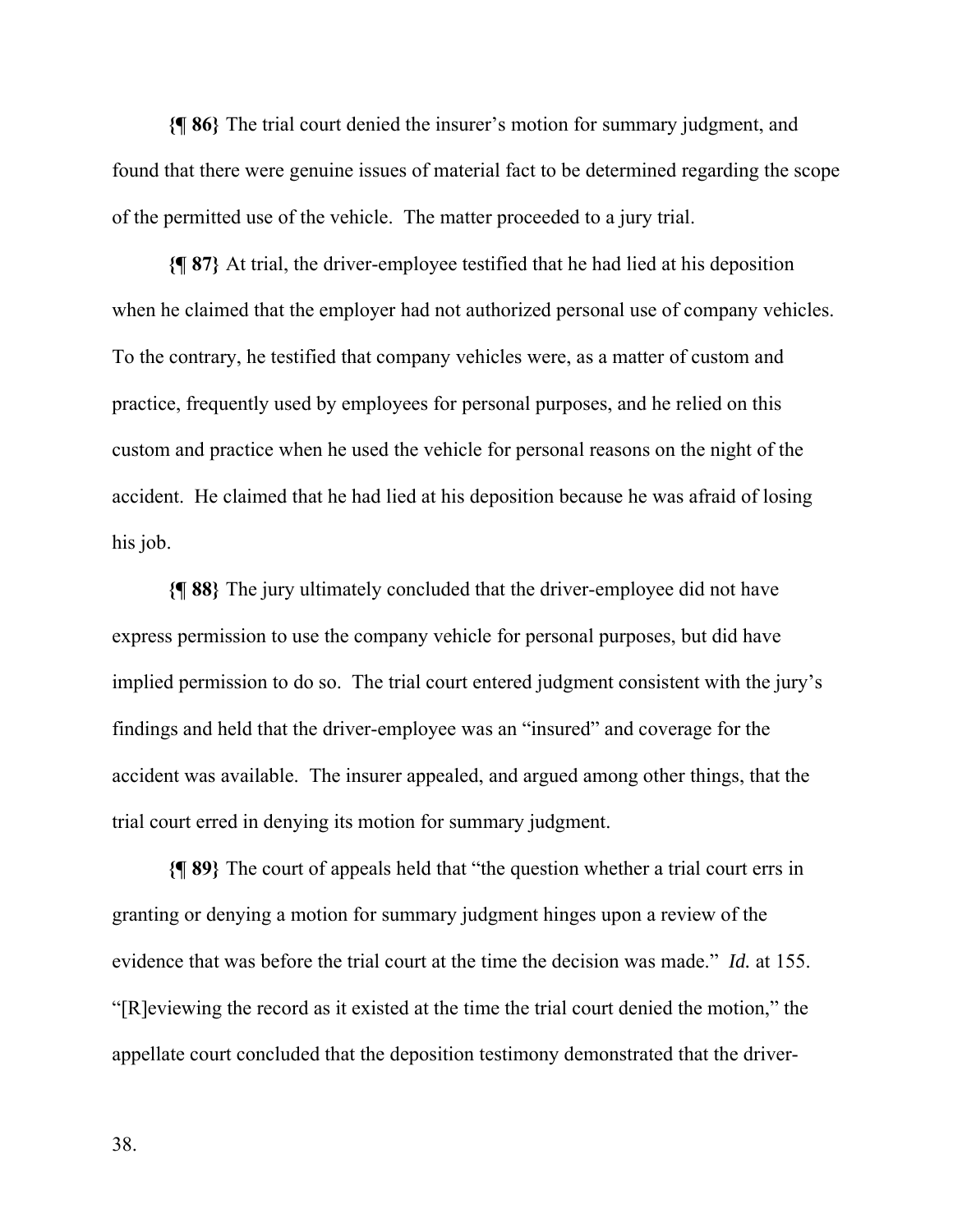**{¶ 86}** The trial court denied the insurer's motion for summary judgment, and found that there were genuine issues of material fact to be determined regarding the scope of the permitted use of the vehicle. The matter proceeded to a jury trial.

**{¶ 87}** At trial, the driver-employee testified that he had lied at his deposition when he claimed that the employer had not authorized personal use of company vehicles. To the contrary, he testified that company vehicles were, as a matter of custom and practice, frequently used by employees for personal purposes, and he relied on this custom and practice when he used the vehicle for personal reasons on the night of the accident. He claimed that he had lied at his deposition because he was afraid of losing his job.

**{¶ 88}** The jury ultimately concluded that the driver-employee did not have express permission to use the company vehicle for personal purposes, but did have implied permission to do so. The trial court entered judgment consistent with the jury's findings and held that the driver-employee was an "insured" and coverage for the accident was available. The insurer appealed, and argued among other things, that the trial court erred in denying its motion for summary judgment.

**{¶ 89}** The court of appeals held that "the question whether a trial court errs in granting or denying a motion for summary judgment hinges upon a review of the evidence that was before the trial court at the time the decision was made." *Id.* at 155. "[R]eviewing the record as it existed at the time the trial court denied the motion," the appellate court concluded that the deposition testimony demonstrated that the driver-

38.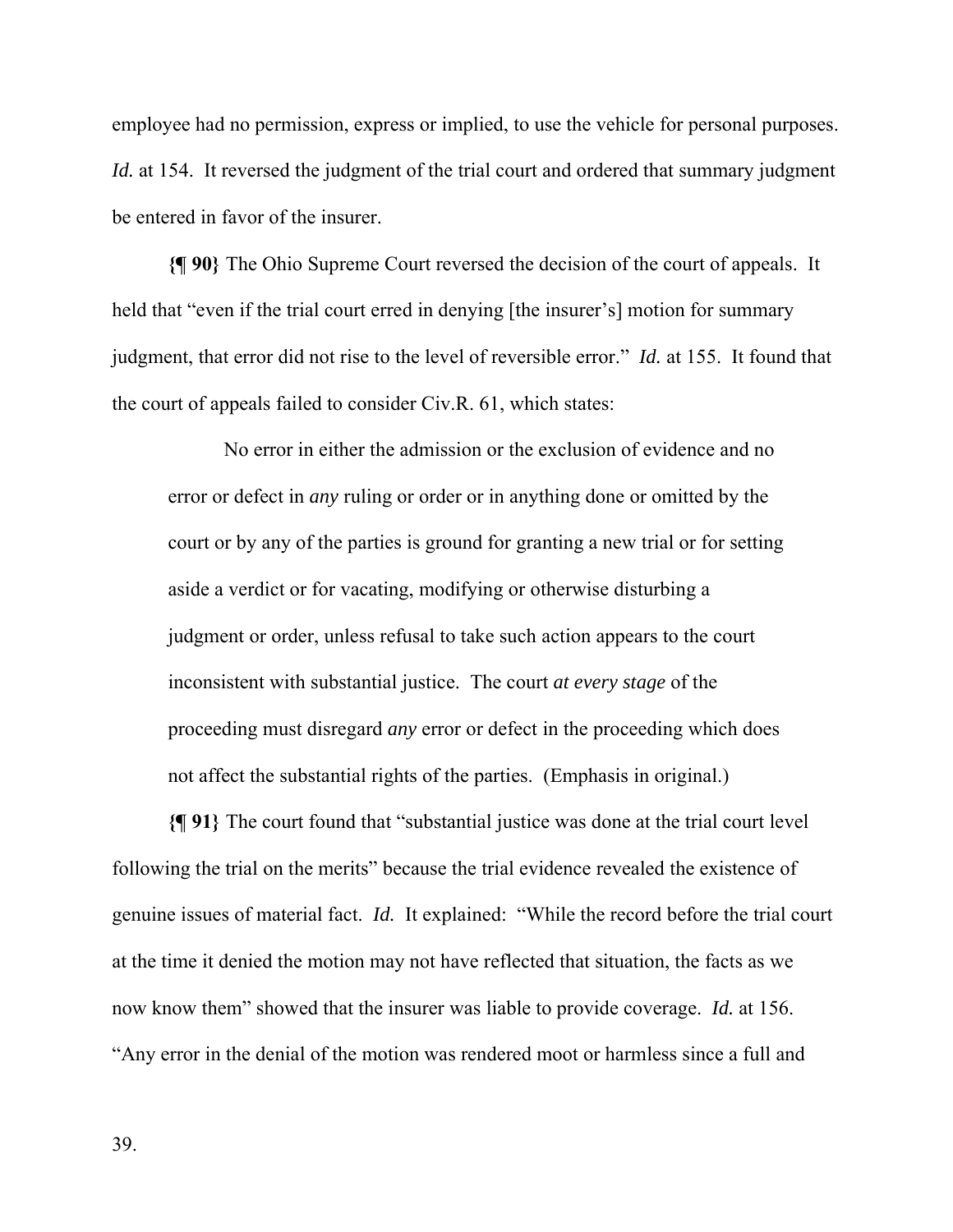employee had no permission, express or implied, to use the vehicle for personal purposes. *Id.* at 154. It reversed the judgment of the trial court and ordered that summary judgment be entered in favor of the insurer.

**{¶ 90}** The Ohio Supreme Court reversed the decision of the court of appeals. It held that "even if the trial court erred in denying [the insurer's] motion for summary judgment, that error did not rise to the level of reversible error." *Id.* at 155. It found that the court of appeals failed to consider Civ.R. 61, which states:

No error in either the admission or the exclusion of evidence and no error or defect in *any* ruling or order or in anything done or omitted by the court or by any of the parties is ground for granting a new trial or for setting aside a verdict or for vacating, modifying or otherwise disturbing a judgment or order, unless refusal to take such action appears to the court inconsistent with substantial justice. The court *at every stage* of the proceeding must disregard *any* error or defect in the proceeding which does not affect the substantial rights of the parties. (Emphasis in original.)

**{¶ 91}** The court found that "substantial justice was done at the trial court level following the trial on the merits" because the trial evidence revealed the existence of genuine issues of material fact. *Id.* It explained:"While the record before the trial court at the time it denied the motion may not have reflected that situation, the facts as we now know them" showed that the insurer was liable to provide coverage. *Id.* at 156. "Any error in the denial of the motion was rendered moot or harmless since a full and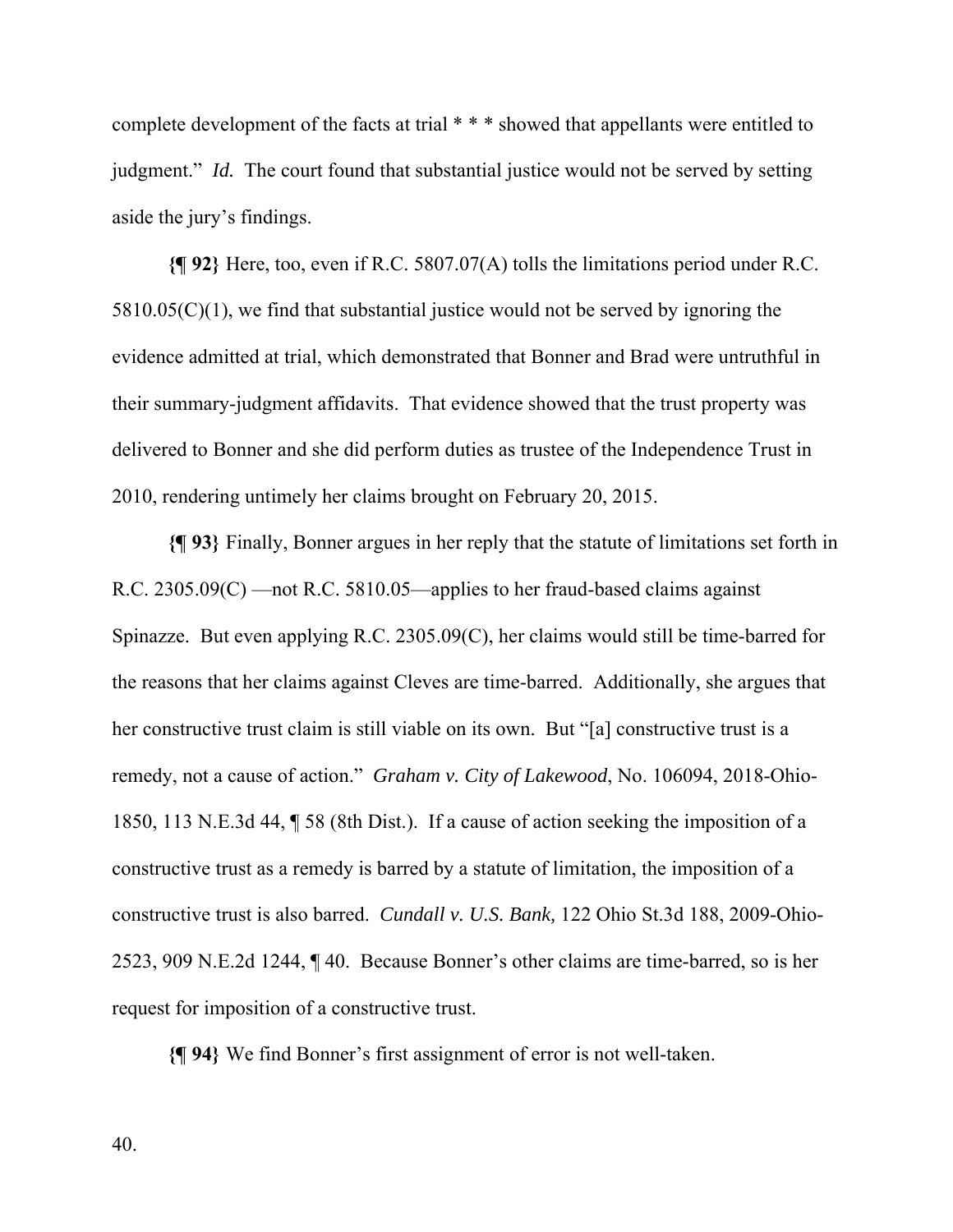complete development of the facts at trial \* \* \* showed that appellants were entitled to judgment." *Id.* The court found that substantial justice would not be served by setting aside the jury's findings.

**{¶ 92}** Here, too, even if R.C. 5807.07(A) tolls the limitations period under R.C.  $5810.05(C)(1)$ , we find that substantial justice would not be served by ignoring the evidence admitted at trial, which demonstrated that Bonner and Brad were untruthful in their summary-judgment affidavits. That evidence showed that the trust property was delivered to Bonner and she did perform duties as trustee of the Independence Trust in 2010, rendering untimely her claims brought on February 20, 2015.

**{¶ 93}** Finally, Bonner argues in her reply that the statute of limitations set forth in R.C. 2305.09(C) —not R.C. 5810.05—applies to her fraud-based claims against Spinazze. But even applying R.C. 2305.09(C), her claims would still be time-barred for the reasons that her claims against Cleves are time-barred. Additionally, she argues that her constructive trust claim is still viable on its own. But "[a] constructive trust is a remedy, not a cause of action." *Graham v. City of Lakewood*, No. 106094, 2018-Ohio-1850, 113 N.E.3d 44, ¶ 58 (8th Dist.). If a cause of action seeking the imposition of a constructive trust as a remedy is barred by a statute of limitation, the imposition of a constructive trust is also barred. *Cundall v. U.S. Bank,* 122 Ohio St.3d 188, 2009-Ohio-2523, 909 N.E.2d 1244, ¶ 40. Because Bonner's other claims are time-barred, so is her request for imposition of a constructive trust.

**{¶ 94}** We find Bonner's first assignment of error is not well-taken.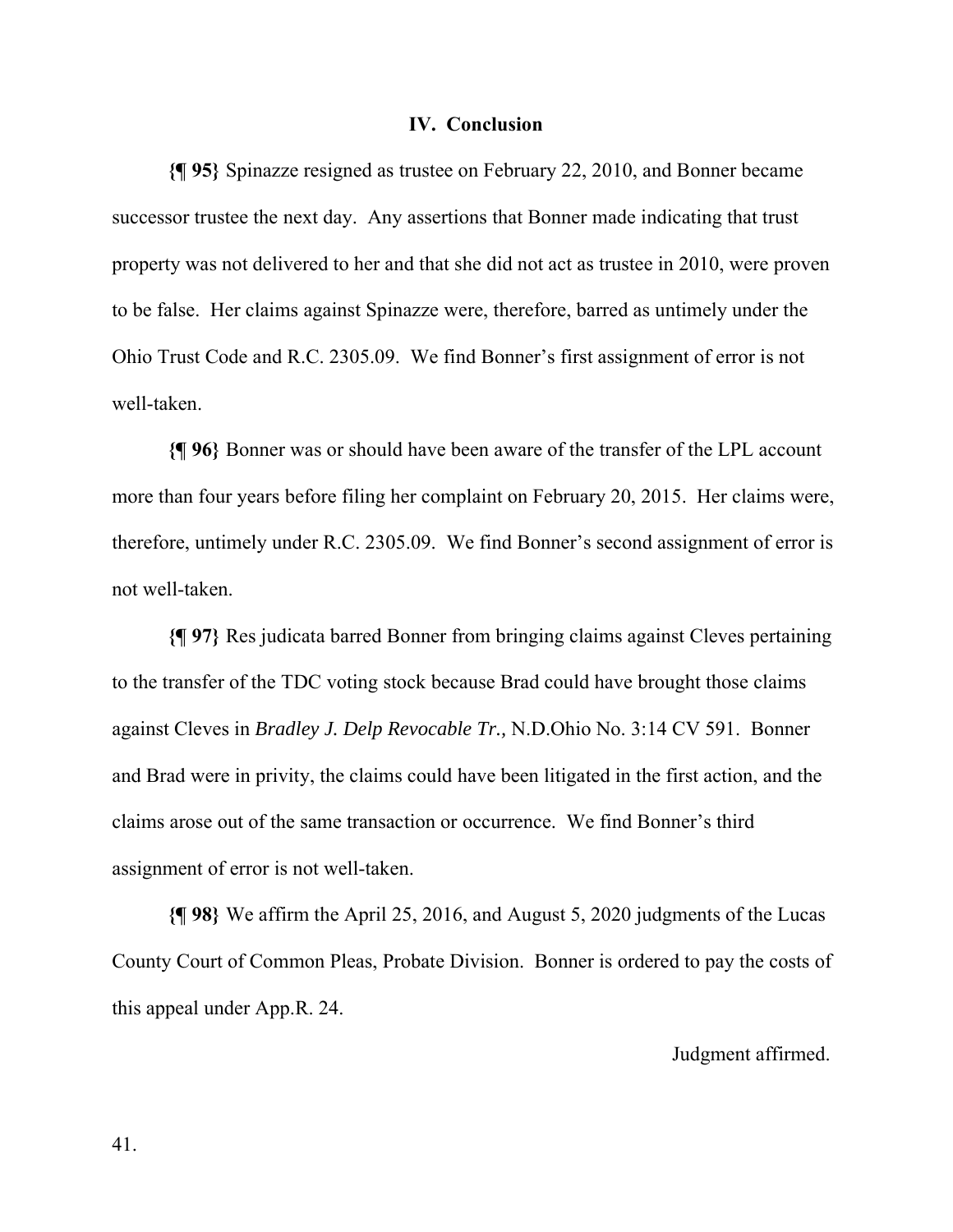#### **IV. Conclusion**

**{¶ 95}** Spinazze resigned as trustee on February 22, 2010, and Bonner became successor trustee the next day. Any assertions that Bonner made indicating that trust property was not delivered to her and that she did not act as trustee in 2010, were proven to be false. Her claims against Spinazze were, therefore, barred as untimely under the Ohio Trust Code and R.C. 2305.09. We find Bonner's first assignment of error is not well-taken.

**{¶ 96}** Bonner was or should have been aware of the transfer of the LPL account more than four years before filing her complaint on February 20, 2015. Her claims were, therefore, untimely under R.C. 2305.09. We find Bonner's second assignment of error is not well-taken.

**{¶ 97}** Res judicata barred Bonner from bringing claims against Cleves pertaining to the transfer of the TDC voting stock because Brad could have brought those claims against Cleves in *Bradley J. Delp Revocable Tr.,* N.D.Ohio No. 3:14 CV 591. Bonner and Brad were in privity, the claims could have been litigated in the first action, and the claims arose out of the same transaction or occurrence. We find Bonner's third assignment of error is not well-taken.

**{¶ 98}** We affirm the April 25, 2016, and August 5, 2020 judgments of the Lucas County Court of Common Pleas, Probate Division. Bonner is ordered to pay the costs of this appeal under App.R. 24.

Judgment affirmed.

41.